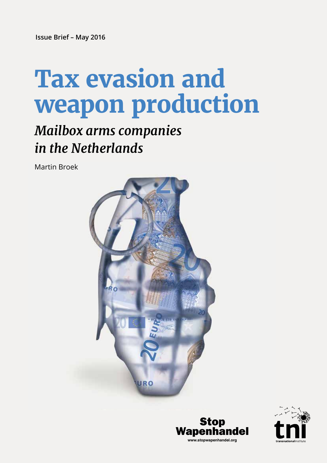**Issue Brief – May 2016**

# **Tax evasion and weapon production**

# *Mailbox arms companies in the Netherlands*

Martin Broek





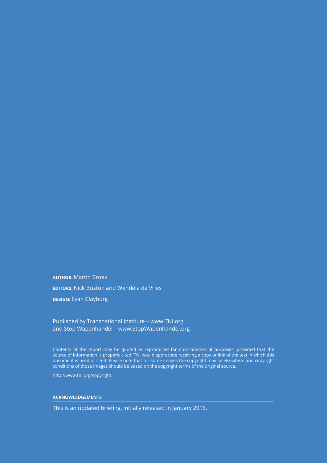**AUTHOR:** Martin Broek

**EDITORS:** Nick Buxton and Wendela de Vries

**DESIGN: Evan Clayburg** 

#### Published by Transnational Institute – www.TNI.org and Stop Wapenhandel – www.StopWapenhandel.org

Contents of the report may be quoted or reproduced for non-commercial purposes, provided that the source of information is properly cited. TNI would appreciate receiving a copy or link of the text in which this document is used or cited. Please note that for some images the copyright may lie elsewhere and copyright conditions of those images should be based on the copyright terms of the original source.

http://www.tni.org/copyright

#### **ACKNOWLEDGEMENTS**

This is an updated briefing, initially released in January 2016.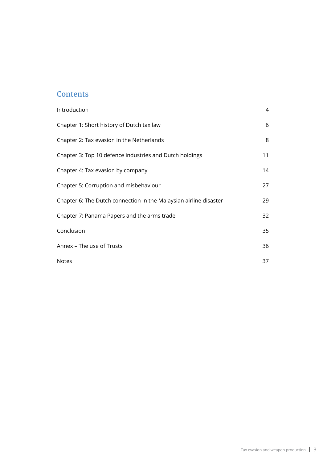#### **Contents**

| Introduction                                                      | 4  |
|-------------------------------------------------------------------|----|
| Chapter 1: Short history of Dutch tax law                         | 6  |
| Chapter 2: Tax evasion in the Netherlands                         | 8  |
| Chapter 3: Top 10 defence industries and Dutch holdings           | 11 |
| Chapter 4: Tax evasion by company                                 | 14 |
| Chapter 5: Corruption and misbehaviour                            | 27 |
| Chapter 6: The Dutch connection in the Malaysian airline disaster | 29 |
| Chapter 7: Panama Papers and the arms trade                       | 32 |
| Conclusion                                                        | 35 |
| Annex - The use of Trusts                                         | 36 |
| <b>Notes</b>                                                      | 37 |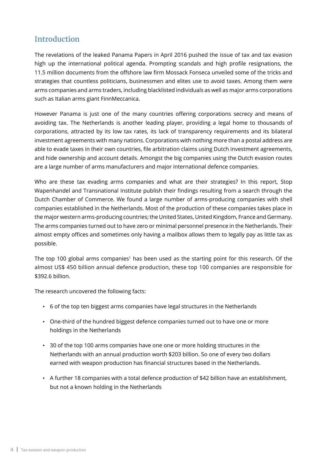#### Introduction

The revelations of the leaked Panama Papers in April 2016 pushed the issue of tax and tax evasion high up the international political agenda. Prompting scandals and high profile resignations, the 11.5 million documents from the offshore law firm Mossack Fonseca unveiled some of the tricks and strategies that countless politicians, businessmen and elites use to avoid taxes. Among them were arms companies and arms traders, including blacklisted individuals as well as major arms corporations such as Italian arms giant FinnMeccanica.

However Panama is just one of the many countries offering corporations secrecy and means of avoiding tax. The Netherlands is another leading player, providing a legal home to thousands of corporations, attracted by its low tax rates, its lack of transparency requirements and its bilateral investment agreements with many nations. Corporations with nothing more than a postal address are able to evade taxes in their own countries, file arbitration claims using Dutch investment agreements, and hide ownership and account details. Amongst the big companies using the Dutch evasion routes are a large number of arms manufacturers and major international defence companies.

Who are these tax evading arms companies and what are their strategies? In this report, Stop Wapenhandel and Transnational Institute publish their findings resulting from a search through the Dutch Chamber of Commerce. We found a large number of arms-producing companies with shell companies established in the Netherlands. Most of the production of these companies takes place in the major western arms-producing countries; the United States, United Kingdom, France and Germany. The arms companies turned out to have zero or minimal personnel presence in the Netherlands. Their almost empty offices and sometimes only having a mailbox allows them to legally pay as little tax as possible.

The top 100 global arms companies<sup>1</sup> has been used as the starting point for this research. Of the almost US\$ 450 billion annual defence production, these top 100 companies are responsible for \$392.6 billion.

The research uncovered the following facts:

- 6 of the top ten biggest arms companies have legal structures in the Netherlands
- One-third of the hundred biggest defence companies turned out to have one or more holdings in the Netherlands
- 30 of the top 100 arms companies have one one or more holding structures in the Netherlands with an annual production worth \$203 billion. So one of every two dollars earned with weapon production has financial structures based in the Netherlands.
- A further 18 companies with a total defence production of \$42 billion have an establishment, but not a known holding in the Netherlands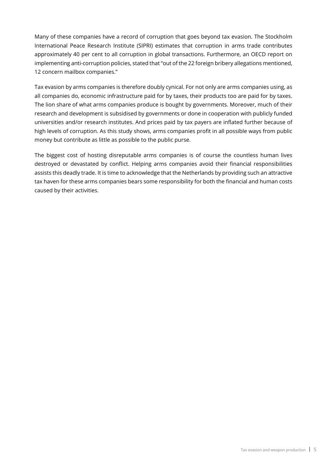Many of these companies have a record of corruption that goes beyond tax evasion. The Stockholm International Peace Research Institute (SIPRI) estimates that corruption in arms trade contributes approximately 40 per cent to all corruption in global transactions. Furthermore, an OECD report on implementing anti-corruption policies, stated that "out of the 22 foreign bribery allegations mentioned, 12 concern mailbox companies."

Tax evasion by arms companies is therefore doubly cynical. For not only are arms companies using, as all companies do, economic infrastructure paid for by taxes, their products too are paid for by taxes. The lion share of what arms companies produce is bought by governments. Moreover, much of their research and development is subsidised by governments or done in cooperation with publicly funded universities and/or research institutes. And prices paid by tax payers are inflated further because of high levels of corruption. As this study shows, arms companies profit in all possible ways from public money but contribute as little as possible to the public purse.

The biggest cost of hosting disreputable arms companies is of course the countless human lives destroyed or devastated by conflict. Helping arms companies avoid their financial responsibilities assists this deadly trade. It is time to acknowledge that the Netherlands by providing such an attractive tax haven for these arms companies bears some responsibility for both the financial and human costs caused by their activities.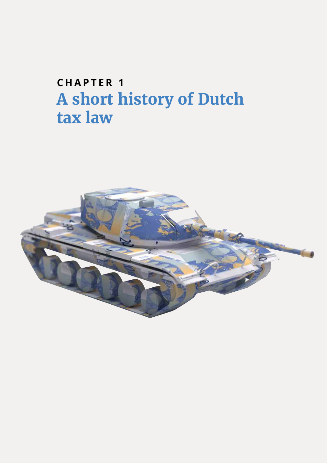# **CHAPTER 1 A short history of Dutch tax law**

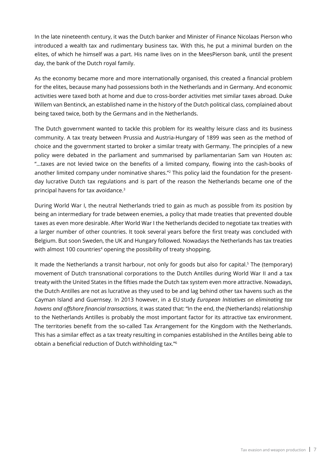In the late nineteenth century, it was the Dutch banker and Minister of Finance Nicolaas Pierson who introduced a wealth tax and rudimentary business tax. With this, he put a minimal burden on the elites, of which he himself was a part. His name lives on in the MeesPierson bank, until the present day, the bank of the Dutch royal family.

As the economy became more and more internationally organised, this created a financial problem for the elites, because many had possessions both in the Netherlands and in Germany. And economic activities were taxed both at home and due to cross-border activities met similar taxes abroad. Duke Willem van Bentinck, an established name in the history of the Dutch political class, complained about being taxed twice, both by the Germans and in the Netherlands.

The Dutch government wanted to tackle this problem for its wealthy leisure class and its business community. A tax treaty between Prussia and Austria-Hungary of 1899 was seen as the method of choice and the government started to broker a similar treaty with Germany. The principles of a new policy were debated in the parliament and summarised by parliamentarian Sam van Houten as: "…taxes are not levied twice on the benefits of a limited company, flowing into the cash-books of another limited company under nominative shares."<sup>2</sup> This policy laid the foundation for the presentday lucrative Dutch tax regulations and is part of the reason the Netherlands became one of the principal havens for tax avoidance.3

During World War I, the neutral Netherlands tried to gain as much as possible from its position by being an intermediary for trade between enemies, a policy that made treaties that prevented double taxes as even more desirable. After World War I the Netherlands decided to negotiate tax treaties with a larger number of other countries. It took several years before the first treaty was concluded with Belgium. But soon Sweden, the UK and Hungary followed. Nowadays the Netherlands has tax treaties with almost 100 countries<sup>4</sup> opening the possibility of treaty shopping.

It made the Netherlands a transit harbour, not only for goods but also for capital.<sup>5</sup> The (temporary) movement of Dutch transnational corporations to the Dutch Antilles during World War II and a tax treaty with the United States in the fifties made the Dutch tax system even more attractive. Nowadays, the Dutch Antilles are not as lucrative as they used to be and lag behind other tax havens such as the Cayman Island and Guernsey. In 2013 however, in a EU study *European Initiatives on eliminating tax havens and offshore financial transactions,* it was stated that: "In the end, the (Netherlands) relationship to the Netherlands Antilles is probably the most important factor for its attractive tax environment. The territories benefit from the so-called Tax Arrangement for the Kingdom with the Netherlands. This has a similar effect as a tax treaty resulting in companies established in the Antilles being able to obtain a beneficial reduction of Dutch withholding tax."6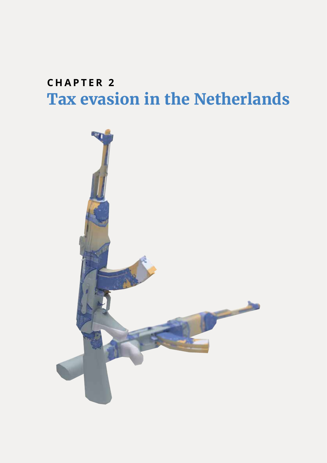### **CHAPTER 2 Tax evasion in the Netherlands**

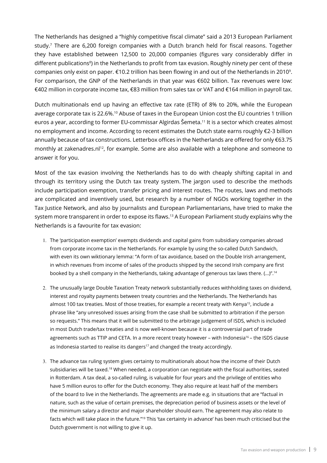The Netherlands has designed a "highly competitive fiscal climate" said a 2013 European Parliament study.7 There are 6,200 foreign companies with a Dutch branch held for fiscal reasons. Together they have established between 12,500 to 20,000 companies (figures vary considerably differ in different publications<sup>8</sup>) in the Netherlands to profit from tax evasion. Roughly ninety per cent of these companies only exist on paper.  $\epsilon$ 10.2 trillion has been flowing in and out of the Netherlands in 2010<sup>9</sup>. For comparison, the GNP of the Netherlands in that year was €602 billion. Tax revenues were low: €402 million in corporate income tax, €83 million from sales tax or VAT and €164 million in payroll tax.

Dutch multinationals end up having an effective tax rate (ETR) of 8% to 20%, while the European average corporate tax is 22.6%.10 Abuse of taxes in the European Union cost the EU countries 1 trillion euros a year, according to former EU-commissar Algirdas Šemeta.11 It is a sector which creates almost no employment and income. According to recent estimates the Dutch state earns roughly €2-3 billion annually because of tax constructions. Letterbox offices in the Netherlands are offered for only €63.75 monthly at zakenadres.nl<sup>12</sup>, for example. Some are also available with a telephone and someone to answer it for you.

Most of the tax evasion involving the Netherlands has to do with cheaply shifting capital in and through its territory using the Dutch tax treaty system. The jargon used to describe the methods include participation exemption, transfer pricing and interest routes. The routes, laws and methods are complicated and inventively used, but research by a number of NGOs working together in the Tax Justice Network, and also by journalists and European Parliamentarians, have tried to make the system more transparent in order to expose its flaws.<sup>13</sup> A European Parliament study explains why the Netherlands is a favourite for tax evasion:

- 1. The 'participation exemption' exempts dividends and capital gains from subsidiary companies abroad from corporate income tax in the Netherlands. For example by using the so-called Dutch Sandwich, with even its own wiktionary lemma: "A form of tax avoidance, based on the Double Irish arrangement, in which revenues from income of sales of the products shipped by the second Irish company are first booked by a shell company in the Netherlands, taking advantage of generous tax laws there.  $(...)^{n}$ .<sup>14</sup>
- 2. The unusually large Double Taxation Treaty network substantially reduces withholding taxes on dividend, interest and royalty payments between treaty countries and the Netherlands. The Netherlands has almost 100 tax treaties. Most of those treaties, for example a recent treaty with Kenya<sup>15</sup>, include a phrase like "any unresolved issues arising from the case shall be submitted to arbitration if the person so requests." This means that it will be submitted to the arbitrage judgement of ISDS, which is included in most Dutch trade/tax treaties and is now well-known because it is a controversial part of trade agreements such as TTIP and CETA. In a more recent treaty however - with Indonesia<sup>16</sup> - the ISDS clause as Indonesia started to realise its dangers<sup>17</sup> and changed the treaty accordingly.
- 3. The advance tax ruling system gives certainty to multinationals about how the income of their Dutch subsidiaries will be taxed.<sup>18</sup> When needed, a corporation can negotiate with the fiscal authorities, seated in Rotterdam. A tax deal, a so-called ruling, is valuable for four years and the privilege of entities who have 5 million euros to offer for the Dutch economy. They also require at least half of the members of the board to live in the Netherlands. The agreements are made e.g. in situations that are "factual in nature, such as the value of certain premises, the depreciation period of business assets or the level of the minimum salary a director and major shareholder should earn. The agreement may also relate to facts which will take place in the future."<sup>19</sup> This 'tax certainty in advance' has been much criticised but the Dutch government is not willing to give it up.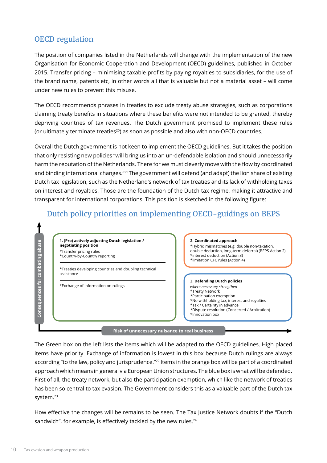#### OECD regulation

The position of companies listed in the Netherlands will change with the implementation of the new Organisation for Economic Cooperation and Development (OECD) guidelines, published in October 2015. Transfer pricing – minimising taxable profits by paying royalties to subsidiaries, for the use of the brand name, patents etc, in other words all that is valuable but not a material asset – will come under new rules to prevent this misuse.

The OECD recommends phrases in treaties to exclude treaty abuse strategies, such as corporations claiming treaty benefits in situations where these benefits were not intended to be granted, thereby depriving countries of tax revenues. The Dutch government promised to implement these rules (or ultimately terminate treaties<sup>20</sup>) as soon as possible and also with non-OECD countries.

Overall the Dutch government is not keen to implement the OECD guidelines. But it takes the position that only resisting new policies "will bring us into an un-defendable isolation and should unnecessarily harm the reputation of the Netherlands. There for we must cleverly move with the flow by coordinated and binding international changes."<sup>21</sup> The government will defend (and adapt) the lion share of existing Dutch tax legislation, such as the Netherland's network of tax treaties and its lack of withholding taxes on interest and royalties. Those are the foundation of the Dutch tax regime, making it attractive and transparent for international corporations. This position is sketched in the following figure:



The Green box on the left lists the items which will be adapted to the OECD guidelines. High placed items have priority. Exchange of information is lowest in this box because Dutch rulings are always according "to the law, policy and jurisprudence."<sup>22</sup> Items in the orange box will be part of a coordinated approach which means in general via European Union structures. The blue box is what will be defended. First of all, the treaty network, but also the participation exemption, which like the network of treaties has been so central to tax evasion. The Government considers this as a valuable part of the Dutch tax system.<sup>23</sup>

How effective the changes will be remains to be seen. The Tax Justice Network doubts if the "Dutch sandwich", for example, is effectively tackled by the new rules.<sup>24</sup>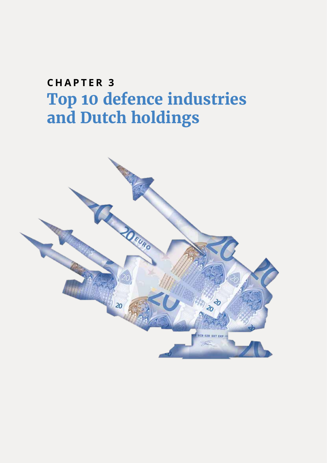# **C H A P T E R 3 Top 10 defence industries and Dutch holdings**

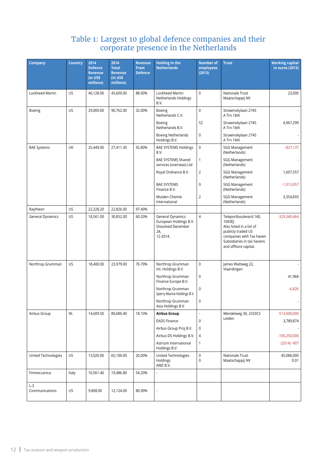#### Table 1: Largest 10 global defence companies and their corporate presence in the Netherlands

| <b>Company</b>          | <b>Country</b> | 2014<br><b>Defence</b><br><b>Revenue</b><br>$(in$ US\$<br>millions) | 2014<br><b>Total</b><br><b>Revenue</b><br>(in US\$<br>millions) | <b>Revenue</b><br><b>From</b><br><b>Defence</b> | <b>Holding in the</b><br><b>Netherlands</b>                                         | <b>Number of</b><br>employees<br>(2013) | <b>Trust</b>                                                                                                                                                         | <b>Working capital</b><br>in euros (2013) |
|-------------------------|----------------|---------------------------------------------------------------------|-----------------------------------------------------------------|-------------------------------------------------|-------------------------------------------------------------------------------------|-----------------------------------------|----------------------------------------------------------------------------------------------------------------------------------------------------------------------|-------------------------------------------|
| Lockheed Martin         | US             | 40,128.00                                                           | 45,600.00                                                       | 88.00%                                          | Lockheed Martin<br>Netherlands Holdings<br>B.V.                                     | $\mathsf 0$                             | Nationale Trust<br>Maatschappij NV                                                                                                                                   | 23,000                                    |
| Boeing                  | US             | 29,000.00                                                           | 90,762.00                                                       | 32.00%                                          | Boeing<br>Netherlands C.V.                                                          | $\mathsf 0$                             | Strawinskylaan 2745<br>A Trn 16th                                                                                                                                    |                                           |
|                         |                |                                                                     |                                                                 |                                                 | Boeing<br>Netherlands B.V.                                                          | 52                                      | Strawinskylaan 2745<br>A Trn 16th                                                                                                                                    | 4,967,299                                 |
|                         |                |                                                                     |                                                                 |                                                 | <b>Boeing Netherlands</b><br>Holdings B.V.                                          | 0                                       | Strawinskylaan 2745<br>A Trn 16th                                                                                                                                    |                                           |
| <b>BAE Systems</b>      | UK             | 25,449.00                                                           | 27,411.30                                                       | 92.80%                                          | <b>BAE SYSTEMS Holdings</b><br>B.V.                                                 | $\mathsf 0$                             | <b>SGG Management</b><br>(Netherlands)                                                                                                                               | $-827,137$                                |
|                         |                |                                                                     |                                                                 |                                                 | BAE SYSTEMS Shared<br>services (overseas) Ltd                                       | $\mathbf{1}$                            | <b>SGG Management</b><br>(Netherlands)                                                                                                                               |                                           |
|                         |                |                                                                     |                                                                 |                                                 | Royal Ordnance B.V.                                                                 | $\overline{2}$                          | <b>SGG Management</b><br>(Netherlands)                                                                                                                               | 1,607,557                                 |
|                         |                |                                                                     |                                                                 |                                                 | <b>BAE SYSTEMS</b><br>Finance B.V.                                                  | $\mathbf 0$                             | <b>SGG Management</b><br>(Netherlands)                                                                                                                               | $-1,013,957$                              |
|                         |                |                                                                     |                                                                 |                                                 | Muiden Chemie<br>International                                                      | $\overline{2}$                          | <b>SGG Management</b><br>(Netherlands)                                                                                                                               | 3,354,693                                 |
| Raytheon                | US             | 22,228.20                                                           | 22,826.00                                                       | 97.40%                                          |                                                                                     |                                         |                                                                                                                                                                      |                                           |
| General Dynamics        | US             | 18,561.00                                                           | 30,852.00                                                       | 60.20%                                          | General Dynamics<br>European Holdings B.V.<br>Dissolved December<br>24,<br>12-2014. | $\overline{4}$                          | Teleportboulevard 140,<br>1043EJ<br>Also listed in a list of<br>publicly traded US<br>companies with Tax haven<br>Subsidiaries in tax havens<br>and offhore capital. | -329,340,464                              |
| Northrop Grumman        | US             | 18,400.00                                                           | 23,979.00                                                       | 76.70%                                          | Northrop Grumman<br>Int. Holdings B.V.                                              | $\mathsf 0$                             | James Wattweg 22,<br>Vlaardingen                                                                                                                                     |                                           |
|                         |                |                                                                     |                                                                 |                                                 | Northrop Grumman<br>Finance Europe B.V.                                             | 0                                       |                                                                                                                                                                      | 41,968                                    |
|                         |                |                                                                     |                                                                 |                                                 | Northrop Grumman<br>Sperry Marine Holdings B.V.                                     | 0                                       |                                                                                                                                                                      | $-6,826$                                  |
|                         |                |                                                                     |                                                                 |                                                 | Northrop Grumman<br>Asia Holdings B.V.                                              | $\mathbf 0$                             |                                                                                                                                                                      |                                           |
| Airbus Group            | NI.            | 14,609.50                                                           | 80,686.40                                                       | 18.10%                                          | <b>Airbus Group</b>                                                                 |                                         | Mendelweg 30, 2333CS                                                                                                                                                 | $-513,000,000$                            |
|                         |                |                                                                     |                                                                 |                                                 | <b>EADS Finance</b>                                                                 | $\mathbf 0$                             | Leiden                                                                                                                                                               | 3,789,874                                 |
|                         |                |                                                                     |                                                                 |                                                 | Airbus Group Proj B.V.                                                              | 0                                       |                                                                                                                                                                      |                                           |
|                         |                |                                                                     |                                                                 |                                                 | Airbus DS Holdings B.V.                                                             | 4                                       |                                                                                                                                                                      | $-106,250,000$                            |
|                         |                |                                                                     |                                                                 |                                                 | Astrium International<br>Holdings B.V.                                              | $\mathbf{1}$                            |                                                                                                                                                                      | $(2014) - 907$                            |
| United Technologies     | US             | 13,020.00                                                           | 65,100.00                                                       | 20.00%                                          | United Technologies<br>Holdings<br>AMZ B.V.                                         | $\pmb{0}$<br>$\mathbf 0$                | Nationale Trust<br>Maatschappij NV                                                                                                                                   | 45,086,000<br>0.01                        |
| Finmeccanica            | Italy          | 10,561.40                                                           | 19,486.80                                                       | 54.20%                                          | ÷,                                                                                  |                                         |                                                                                                                                                                      |                                           |
| $L-3$<br>Communications | US             | 9,808.00                                                            | 12,124.00                                                       | 80.90%                                          |                                                                                     |                                         |                                                                                                                                                                      |                                           |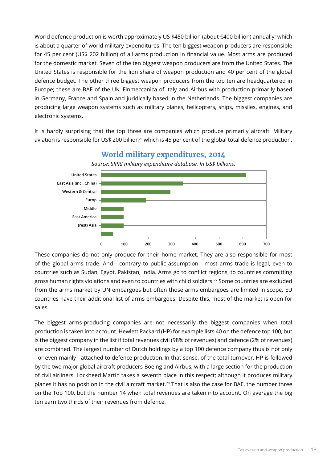World defence production is worth approximately US \$450 billion (about €400 billion) annually; which is about a quarter of world military expenditures. The ten biggest weapon producers are responsible for 45 per cent (US\$ 202 billion) of all arms production in financial value. Most arms are produced for the domestic market. Seven of the ten biggest weapon producers are from the United States. The United States is responsible for the lion share of weapon production and 40 per cent of the global defence budget. The other three biggest weapon producers from the top ten are headquartered in Europe; these are BAE of the UK, Finmeccanica of Italy and Airbus with production primarily based in Germany, France and Spain and juridically based in the Netherlands. The biggest companies are producing large weapon systems such as military planes, helicopters, ships, missiles, engines, and electronic systems.

It is hardly surprising that the top three are companies which produce primarily aircraft. Military aviation is responsible for US\$ 200 billion<sup>26</sup> which is 45 per cent of the global total defence production.



**World military expenditures, 2014**

These companies do not only produce for their home market. They are also responsible for most of the global arms trade. And - contrary to public assumption - most arms trade is legal, even to countries such as Sudan, Egypt, Pakistan, India. Arms go to conflict regions, to countries committing gross human rights violations and even to countries with child soldiers.27 Some countries are excluded from the arms market by UN embargoes but often those arms embargoes are limited in scope. EU countries have their additional list of arms embargoes. Despite this, most of the market is open for sales.

The biggest arms-producing companies are not necessarily the biggest companies when total production is taken into account. Hewlett Packard (HP) for example lists 40 on the defence top 100, but is the biggest company in the list if total revenues civil (98% of revenues) and defence (2% of revenues) are combined. The largest number of Dutch holdings by a top 100 defence company thus is not only - or even mainly - attached to defence production. In that sense, of the total turnover, HP is followed by the two major global aircraft producers Boeing and Airbus, with a large section for the production of civil airliners. Lockheed Martin takes a seventh place in this respect; although it produces military planes it has no position in the civil aircraft market.<sup>28</sup> That is also the case for BAE, the number three on the Top 100, but the number 14 when total revenues are taken into account. On average the big ten earn two thirds of their revenues from defence.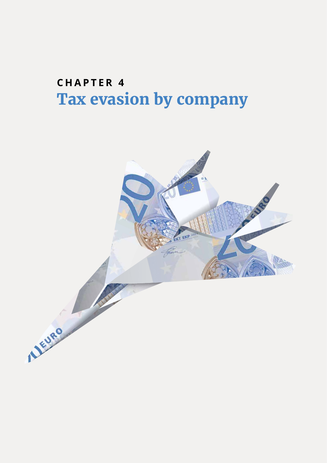### **CHAPTER 4 Tax evasion by company**

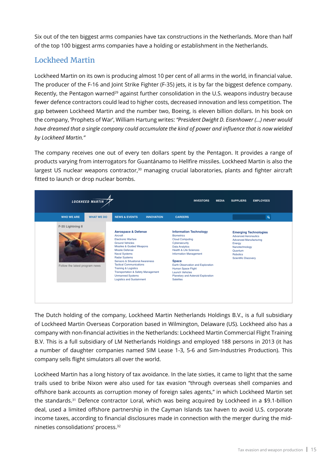Six out of the ten biggest arms companies have tax constructions in the Netherlands. More than half of the top 100 biggest arms companies have a holding or establishment in the Netherlands.

#### Lockheed Martin

Lockheed Martin on its own is producing almost 10 per cent of all arms in the world, in financial value. The producer of the F-16 and Joint Strike Fighter (F-35) jets, it is by far the biggest defence company. Recently, the Pentagon warned<sup>29</sup> against further consolidation in the U.S. weapons industry because fewer defence contractors could lead to higher costs, decreased innovation and less competition. The gap between Lockheed Martin and the number two, Boeing, is eleven billion dollars. In his book on the company, 'Prophets of War', William Hartung writes: *"President Dwight D. Eisenhower (…) never would have dreamed that a single company could accumulate the kind of power and influence that is now wielded by Lockheed Martin."*

The company receives one out of every ten dollars spent by the Pentagon. It provides a range of products varying from interrogators for Guantánamo to Hellfire missiles. Lockheed Martin is also the largest US nuclear weapons contractor,<sup>30</sup> managing crucial laboratories, plants and fighter aircraft fitted to launch or drop nuclear bombs.

|                                | <b>LOCKHEED MARTIN</b> |                                                                                                                                                                                                                                                                                                                                                                                                           |                   | <b>INVESTORS</b>                                                                                                                                                                                                                                                                                                | <b>MEDIA</b> | <b>SUPPLIERS</b>                                                                                                                                                               | <b>EMPLOYEES</b> |
|--------------------------------|------------------------|-----------------------------------------------------------------------------------------------------------------------------------------------------------------------------------------------------------------------------------------------------------------------------------------------------------------------------------------------------------------------------------------------------------|-------------------|-----------------------------------------------------------------------------------------------------------------------------------------------------------------------------------------------------------------------------------------------------------------------------------------------------------------|--------------|--------------------------------------------------------------------------------------------------------------------------------------------------------------------------------|------------------|
| <b>WHO WE ARE</b>              | <b>WHAT WE DO</b>      | <b>NEWS &amp; EVENTS</b>                                                                                                                                                                                                                                                                                                                                                                                  | <b>INNOVATION</b> | <b>CAREERS</b>                                                                                                                                                                                                                                                                                                  |              |                                                                                                                                                                                | $\alpha$         |
| F-35 Lightning II              |                        | <b>Aerospace &amp; Defense</b>                                                                                                                                                                                                                                                                                                                                                                            |                   | <b>Information Technology</b>                                                                                                                                                                                                                                                                                   |              |                                                                                                                                                                                |                  |
| Follow the latest program news |                        | Aircraft<br><b>Electronic Warfare</b><br><b>Ground Vehicles</b><br>Missiles & Guided Weapons<br><b>Missile Defense</b><br><b>Naval Systems</b><br><b>Radar Systems</b><br><b>Sensors &amp; Situational Awareness</b><br><b>Tactical Communications</b><br><b>Training &amp; Logistics</b><br><b>Transportation &amp; Safety Management</b><br><b>Unmanned Systems</b><br><b>Logistics and Sustainment</b> |                   | <b>Biometrics</b><br><b>Cloud Computing</b><br>Cybersecurity<br><b>Data Analytics</b><br>Health & Life Sciences<br><b>Information Management</b><br><b>Space</b><br>Earth Observation and Exploration<br>Human Space Flight<br><b>Launch Vehicles</b><br>Planetary and Asteroid Exploration<br><b>Satelites</b> |              | <b>Emerging Technologies</b><br><b>Advanced Aeronautics</b><br><b>Advanced Manufacturing</b><br>Energy<br>Nanotechnology<br>Quantum<br>Robotics<br><b>Scientific Discovery</b> |                  |

The Dutch holding of the company, Lockheed Martin Netherlands Holdings B.V., is a full subsidiary of Lockheed Martin Overseas Corporation based in Wilmington, Delaware (US). Lockheed also has a company with non-financial activities in the Netherlands: Lockheed Martin Commercial Flight Training B.V. This is a full subsidiary of LM Netherlands Holdings and employed 188 persons in 2013 (it has a number of daughter companies named SIM Lease 1-3, 5-6 and Sim-Industries Production). This company sells flight simulators all over the world.

Lockheed Martin has a long history of tax avoidance. In the late sixties, it came to light that the same trails used to bribe Nixon were also used for tax evasion "through overseas shell companies and offshore bank accounts as corruption money of foreign sales agents," in which Lockheed Martin set the standards.31 Defence contractor Loral, which was being acquired by Lockheed in a \$9.1-billion deal, used a limited offshore partnership in the Cayman Islands tax haven to avoid U.S. corporate income taxes, according to financial disclosures made in connection with the merger during the midnineties consolidations' process.32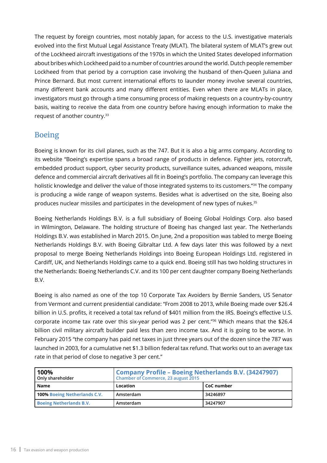The request by foreign countries, most notably Japan, for access to the U.S. investigative materials evolved into the first Mutual Legal Assistance Treaty (MLAT). The bilateral system of MLAT's grew out of the Lockheed aircraft investigations of the 1970s in which the United States developed information about bribes which Lockheed paid to a number of countries around the world. Dutch people remember Lockheed from that period by a corruption case involving the husband of then-Queen Juliana and Prince Bernard. But most current international efforts to launder money involve several countries, many different bank accounts and many different entities. Even when there are MLATs in place, investigators must go through a time consuming process of making requests on a country-by-country basis, waiting to receive the data from one country before having enough information to make the request of another country.33

#### Boeing

Boeing is known for its civil planes, such as the 747. But it is also a big arms company. According to its website "Boeing's expertise spans a broad range of products in defence. Fighter jets, rotorcraft, embedded product support, cyber security products, surveillance suites, advanced weapons, missile defence and commercial aircraft derivatives all fit in Boeing's portfolio. The company can leverage this holistic knowledge and deliver the value of those integrated systems to its customers."<sup>34</sup> The company is producing a wide range of weapon systems. Besides what is advertised on the site, Boeing also produces nuclear missiles and participates in the development of new types of nukes.<sup>35</sup>

Boeing Netherlands Holdings B.V. is a full subsidiary of Boeing Global Holdings Corp. also based in Wilmington, Delaware. The holding structure of Boeing has changed last year. The Netherlands Holdings B.V. was established in March 2015. On June, 2nd a proposition was tabled to merge Boeing Netherlands Holdings B.V. with Boeing Gibraltar Ltd. A few days later this was followed by a next proposal to merge Boeing Netherlands Holdings into Boeing European Holdings Ltd. registered in Cardiff, UK, and Netherlands Holdings came to a quick end. Boeing still has two holding structures in the Netherlands: Boeing Netherlands C.V. and its 100 per cent daughter company Boeing Netherlands B.V.

Boeing is also named as one of the top 10 Corporate Tax Avoiders by Bernie Sanders, US Senator from Vermont and current presidential candidate: "From 2008 to 2013, while Boeing made over \$26.4 billion in U.S. profits, it received a total tax refund of \$401 million from the IRS. Boeing's effective U.S. corporate income tax rate over this six-year period was 2 per cent."36 Which means that the \$26.4 billion civil military aircraft builder paid less than zero income tax. And it is going to be worse. In February 2015 "the company has paid net taxes in just three years out of the dozen since the 787 was launched in 2003, for a cumulative net \$1.3 billion federal tax refund. That works out to an average tax rate in that period of close to negative 3 per cent."

| 100%<br>Only shareholder       | <b>Company Profile - Boeing Netherlands B.V. (34247907)</b><br>Chamber of Commerce, 23 august 2015 |            |  |  |  |
|--------------------------------|----------------------------------------------------------------------------------------------------|------------|--|--|--|
| Name                           | Location                                                                                           | CoC number |  |  |  |
| 100% Boeing Netherlands C.V.   | Amsterdam                                                                                          | 34246897   |  |  |  |
| <b>Boeing Netherlands B.V.</b> | Amsterdam                                                                                          | 34247907   |  |  |  |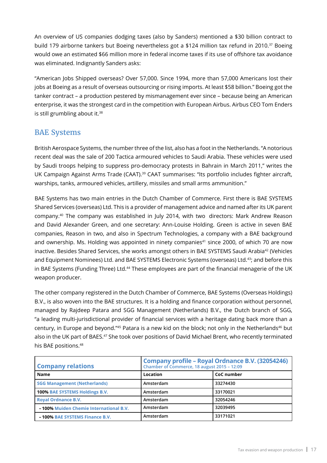An overview of US companies dodging taxes (also by Sanders) mentioned a \$30 billion contract to build 179 airborne tankers but Boeing nevertheless got a \$124 million tax refund in 2010.<sup>37</sup> Boeing would owe an estimated \$66 million more in federal income taxes if its use of offshore tax avoidance was eliminated. Indignantly Sanders asks:

"American Jobs Shipped overseas? Over 57,000. Since 1994, more than 57,000 Americans lost their jobs at Boeing as a result of overseas outsourcing or rising imports. At least \$58 billion." Boeing got the tanker contract – a production pestered by mismanagement ever since – because being an American enterprise, it was the strongest card in the competition with European Airbus. Airbus CEO Tom Enders is still grumbling about it.<sup>38</sup>

#### BAE Systems

British Aerospace Systems, the number three of the list, also has a foot in the Netherlands. "A notorious recent deal was the sale of 200 Tactica armoured vehicles to Saudi Arabia. These vehicles were used by Saudi troops helping to suppress pro-democracy protests in Bahrain in March 2011," writes the UK Campaign Against Arms Trade (CAAT).<sup>39</sup> CAAT summarises: "Its portfolio includes fighter aircraft, warships, tanks, armoured vehicles, artillery, missiles and small arms ammunition."

BAE Systems has two main entries in the Dutch Chamber of Commerce. First there is BAE SYSTEMS Shared Services (overseas) Ltd. This is a provider of management advice and named after its UK parent company.40 The company was established in July 2014, with two directors: Mark Andrew Reason and David Alexander Green, and one secretary: Ann-Louise Holding. Green is active in seven BAE companies, Reason in two, and also in Spectrum Technologies, a company with a BAE background and ownership. Ms. Holding was appointed in ninety companies<sup>41</sup> since 2000, of which 70 are now inactive. Besides Shared Services, she works amongst others in BAE SYSTEMS Saudi Arabia<sup>42</sup> (Vehicles and Equipment Nominees) Ltd. and BAE SYSTEMS Electronic Systems (overseas) Ltd.43; and before this in BAE Systems (Funding Three) Ltd.<sup>44</sup> These employees are part of the financial menagerie of the UK weapon producer.

The other company registered in the Dutch Chamber of Commerce, BAE Systems (Overseas Holdings) B.V., is also woven into the BAE structures. It is a holding and finance corporation without personnel, managed by Rajdeep Patara and SGG Management (Netherlands) B.V., the Dutch branch of SGG, "a leading multi-jurisdictional provider of financial services with a heritage dating back more than a century, in Europe and beyond."45 Patara is a new kid on the block; not only in the Netherlands<sup>46</sup> but also in the UK part of BAES.<sup>47</sup> She took over positions of David Michael Brent, who recently terminated his BAE positions.<sup>48</sup>

| <b>Company relations</b>                      | Company profile - Royal Ordnance B.V. (32054246)<br>Chamber of Commerce, 18 august 2015 - 12:09 |            |  |  |
|-----------------------------------------------|-------------------------------------------------------------------------------------------------|------------|--|--|
| Name                                          | Location                                                                                        | CoC number |  |  |
| <b>SGG Management (Netherlands)</b>           | Amsterdam                                                                                       | 33274430   |  |  |
| 100% BAE SYSTEMS Holdings B.V.                | Amsterdam                                                                                       | 33170021   |  |  |
| <b>Royal Ordnance B.V.</b>                    | Amsterdam                                                                                       | 32054246   |  |  |
| <b>-100% Mujden Chemie International B.V.</b> | Amsterdam                                                                                       | 32039495   |  |  |
| <b>-100% BAE SYSTEMS Finance B.V.</b>         | Amsterdam                                                                                       | 33171021   |  |  |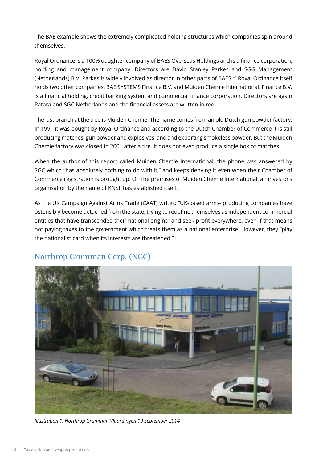The BAE example shows the extremely complicated holding structures which companies spin around themselves.

Royal Ordnance is a 100% daughter company of BAES Overseas Holdings and is a finance corporation, holding and management company. Directors are David Stanley Parkes and SGG Management (Netherlands) B.V. Parkes is widely involved as director in other parts of BAES.<sup>49</sup> Royal Ordnance itself holds two other companies: BAE SYSTEMS Finance B.V. and Muiden Chemie International. Finance B.V. is a financial holding, credit banking system and commercial finance corporation. Directors are again Patara and SGC Netherlands and the financial assets are written in red.

The last branch at the tree is Muiden Chemie. The name comes from an old Dutch gun powder factory. In 1991 it was bought by Royal Ordnance and according to the Dutch Chamber of Commerce it is still producing matches, gun powder and explosives, and and exporting smokeless powder. But the Muiden Chemie factory was closed in 2001 after a fire. It does not even produce a single box of matches.

When the author of this report called Muiden Chemie International, the phone was answered by SGC which "has absolutely nothing to do with it," and keeps denying it even when their Chamber of Commerce registration is brought up. On the premises of Muiden Chemie International, an investor's organisation by the name of KNSF has established itself.

As the UK Campaign Against Arms Trade (CAAT) writes: "UK-based arms- producing companies have ostensibly become detached from the state, trying to redefine themselves as independent commercial entities that have transcended their national origins" and seek profit everywhere, even if that means not paying taxes to the government which treats them as a national enterprise. However, they "play the nationalist card when its interests are threatened."<sup>50</sup>



### Northrop Grumman Corp. (NGC)

*Illustration 1: Northrop Grumman Vlaardingen 19 September 2014*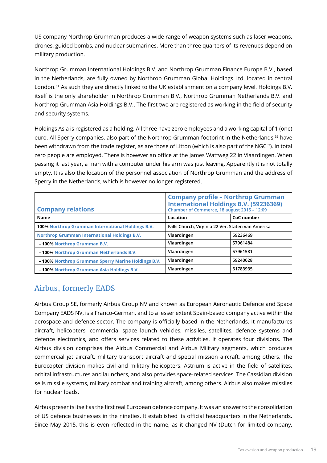US company Northrop Grumman produces a wide range of weapon systems such as laser weapons, drones, guided bombs, and nuclear submarines. More than three quarters of its revenues depend on military production.

Northrop Grumman International Holdings B.V. and Northrop Grumman Finance Europe B.V., based in the Netherlands, are fully owned by Northrop Grumman Global Holdings Ltd. located in central London.<sup>51</sup> As such they are directly linked to the UK establishment on a company level. Holdings B.V. itself is the only shareholder in Northrop Grumman B.V., Northrop Grumman Netherlands B.V. and Northrop Grumman Asia Holdings B.V.. The first two are registered as working in the field of security and security systems.

Holdings Asia is registered as a holding. All three have zero employees and a working capital of 1 (one) euro. All Sperry companies, also part of the Northrop Grumman footprint in the Netherlands,<sup>52</sup> have been withdrawn from the trade register, as are those of Litton (which is also part of the NGC<sup>53</sup>). In total zero people are employed. There is however an office at the James Wattweg 22 in Vlaardingen. When passing it last year, a man with a computer under his arm was just leaving. Apparently it is not totally empty. It is also the location of the personnel association of Northrop Grumman and the address of Sperry in the Netherlands, which is however no longer registered.

| <b>Company relations</b>                            | <b>Company profile - Northrop Grumman</b><br><b>International Holdings B.V. (59236369)</b><br>Chamber of Commerce, 18 august 2015 - 12:09 |            |  |
|-----------------------------------------------------|-------------------------------------------------------------------------------------------------------------------------------------------|------------|--|
| <b>Name</b>                                         | Location                                                                                                                                  | CoC number |  |
| 100% Northrop Grumman International Holdings B.V.   | Falls Church, Virginia 22 Ver. Staten van Amerika                                                                                         |            |  |
| <b>Northrop Grumman International Holdings B.V.</b> | Vlaardingen                                                                                                                               | 59236469   |  |
| -100% Northrop Grumman B.V.                         | Vlaardingen                                                                                                                               | 57961484   |  |
| -100% Northrop Grumman Netherlands B.V.             | Vlaardingen                                                                                                                               | 57961581   |  |
| -100% Northrop Grumman Sperry Marine Holdings B.V.  | Vlaardingen                                                                                                                               | 59240628   |  |
| <b>-100% Northrop Grumman Asia Holdings B.V.</b>    | Vlaardingen                                                                                                                               | 61783935   |  |

### Airbus, formerly EADS

Airbus Group SE, formerly Airbus Group NV and known as European Aeronautic Defence and Space Company EADS NV, is a Franco-German, and to a lesser extent Spain-based company active within the aerospace and defence sector. The company is officially based in the Netherlands. It manufactures aircraft, helicopters, commercial space launch vehicles, missiles, satellites, defence systems and defence electronics, and offers services related to these activities. It operates four divisions. The Airbus division comprises the Airbus Commercial and Airbus Military segments, which produces commercial jet aircraft, military transport aircraft and special mission aircraft, among others. The Eurocopter division makes civil and military helicopters. Astrium is active in the field of satellites, orbital infrastructures and launchers, and also provides space-related services. The Cassidian division sells missile systems, military combat and training aircraft, among others. Airbus also makes missiles for nuclear loads.

Airbus presents itself as the first real European defence company. It was an answer to the consolidation of US defence businesses in the nineties. It established its official headquarters in the Netherlands. Since May 2015, this is even reflected in the name, as it changed NV (Dutch for limited company,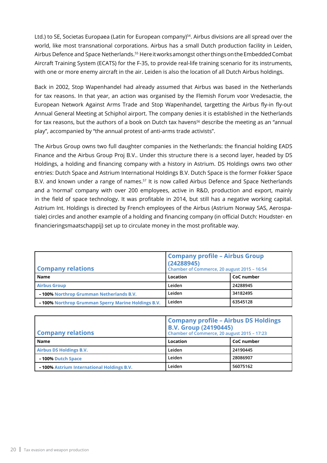Ltd.) to SE, Societas Europaea (Latin for European company)<sup>54</sup>. Airbus divisions are all spread over the world, like most transnational corporations. Airbus has a small Dutch production facility in Leiden, Airbus Defence and Space Netherlands.<sup>55</sup> Here it works amongst other things on the Embedded Combat Aircraft Training System (ECATS) for the F-35, to provide real-life training scenario for its instruments, with one or more enemy aircraft in the air. Leiden is also the location of all Dutch Airbus holdings.

Back in 2002, Stop Wapenhandel had already assumed that Airbus was based in the Netherlands for tax reasons. In that year, an action was organised by the Flemish Forum voor Vredesactie, the European Network Against Arms Trade and Stop Wapenhandel, targetting the Airbus fly-in fly-out Annual General Meeting at Schiphol airport. The company denies it is established in the Netherlands for tax reasons, but the authors of a book on Dutch tax havens<sup>56</sup> describe the meeting as an "annual play", accompanied by "the annual protest of anti-arms trade activists".

The Airbus Group owns two full daughter companies in the Netherlands: the financial holding EADS Finance and the Airbus Group Proj B.V.. Under this structure there is a second layer, headed by DS Holdings, a holding and financing company with a history in Astrium. DS Holdings owns two other entries: Dutch Space and Astrium International Holdings B.V. Dutch Space is the former Fokker Space B.V. and known under a range of names.<sup>57</sup> It is now called Airbus Defence and Space Netherlands and a 'normal' company with over 200 employees, active in R&D, production and export, mainly in the field of space technology. It was profitable in 2014, but still has a negative working capital. Astrium Int. Holdings is directed by French employees of the Airbus (Astrium Norway SAS, Aerospatiale) circles and another example of a holding and financing company (in official Dutch: Houdster- en financieringsmaatschappij) set up to circulate money in the most profitable way.

| <b>Company relations</b>                                  | <b>Company profile - Airbus Group</b><br>(24288945)<br>Chamber of Commerce, 20 august 2015 - 16:54 |            |  |
|-----------------------------------------------------------|----------------------------------------------------------------------------------------------------|------------|--|
| Name                                                      | Location                                                                                           | CoC number |  |
| <b>Airbus Group</b>                                       | Leiden                                                                                             | 24288945   |  |
| <b>-100% Northrop Grumman Netherlands B.V.</b>            | Leiden                                                                                             | 34182495   |  |
| <b>-100% Northrop Grumman Sperry Marine Holdings B.V.</b> | Leiden                                                                                             | 63545128   |  |

| <b>Company relations</b>                         | <b>Company profile - Airbus DS Holdings</b><br><b>B.V. Group (24190445)</b><br>Chamber of Commerce, 20 august 2015 - 17:23 |            |  |
|--------------------------------------------------|----------------------------------------------------------------------------------------------------------------------------|------------|--|
| <b>Name</b>                                      | Location                                                                                                                   | CoC number |  |
| <b>Airbus DS Holdings B.V.</b>                   | Leiden                                                                                                                     | 24190445   |  |
| - 100% Dutch Space                               | Leiden                                                                                                                     | 28086907   |  |
| <b>-100% Astrium International Holdings B.V.</b> | Leiden                                                                                                                     | 56075162   |  |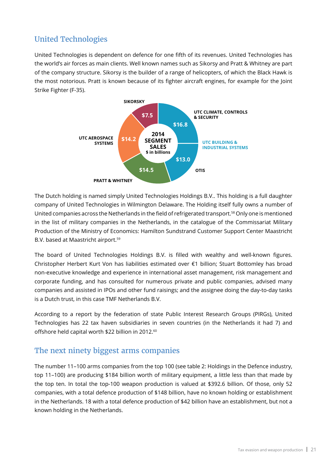### United Technologies

United Technologies is dependent on defence for one fifth of its revenues. United Technologies has the world's air forces as main clients. Well known names such as Sikorsy and Pratt & Whitney are part of the company structure. Sikorsy is the builder of a range of helicopters, of which the Black Hawk is the most notorious. Pratt is known because of its fighter aircraft engines, for example for the Joint Strike Fighter (F-35).



The Dutch holding is named simply United Technologies Holdings B.V.. This holding is a full daughter company of United Technologies in Wilmington Delaware. The Holding itself fully owns a number of United companies across the Netherlands in the field of refrigerated transport.<sup>58</sup> Only one is mentioned in the list of military companies in the Netherlands, in the catalogue of the Commissariat Military Production of the Ministry of Economics: Hamilton Sundstrand Customer Support Center Maastricht B.V. based at Maastricht airport.<sup>59</sup>

The board of United Technologies Holdings B.V. is filled with wealthy and well-known figures. Christopher Herbert Kurt Von has liabilities estimated over €1 billion; Stuart Bottomley has broad non-executive knowledge and experience in international asset management, risk management and corporate funding, and has consulted for numerous private and public companies, advised many companies and assisted in IPOs and other fund raisings; and the assignee doing the day-to-day tasks is a Dutch trust, in this case TMF Netherlands B.V.

According to a report by the federation of state Public Interest Research Groups (PIRGs), United Technologies has 22 tax haven subsidiaries in seven countries (in the Netherlands it had 7) and offshore held capital worth \$22 billion in 2012.<sup>60</sup>

### The next ninety biggest arms companies

The number 11–100 arms companies from the top 100 (see table 2: Holdings in the Defence industry, top 11–100) are producing \$184 billion worth of military equipment, a little less than that made by the top ten. In total the top-100 weapon production is valued at \$392.6 billion. Of those, only 52 companies, with a total defence production of \$148 billion, have no known holding or establishment in the Netherlands. 18 with a total defence production of \$42 billion have an establishment, but not a known holding in the Netherlands.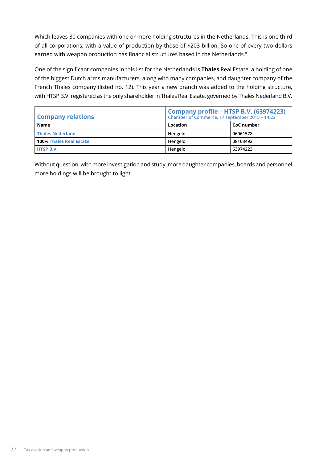Which leaves 30 companies with one or more holding structures in the Netherlands. This is one third of all corporations, with a value of production by those of \$203 billion. So one of every two dollars earned with weapon production has financial structures based in the Netherlands."

One of the significant companies in this list for the Netherlands is **Thales** Real Estate, a holding of one of the biggest Dutch arms manufacturers, along with many companies, and daughter company of the French Thales company (listed no. 12). This year a new branch was added to the holding structure, with HTSP B.V. registered as the only shareholder in Thales Real Estate, governed by Thales Nederland B.V.

| <b>Company relations</b>       | Company profile - HTSP B.V. (63974223)<br>Chamber of Commerce, 17 september 2015 - 14:23 |            |  |
|--------------------------------|------------------------------------------------------------------------------------------|------------|--|
| Name                           | Location                                                                                 | CoC number |  |
| <b>Thales Nederland</b>        | Hengelo                                                                                  | 06061578   |  |
| <b>100% Thales Real Estate</b> | Hengelo                                                                                  | 08103492   |  |
| <b>HTSP B.V.</b>               | Hengelo                                                                                  | 63974223   |  |

Without question, with more investigation and study, more daughter companies, boards and personnel more holdings will be brought to light.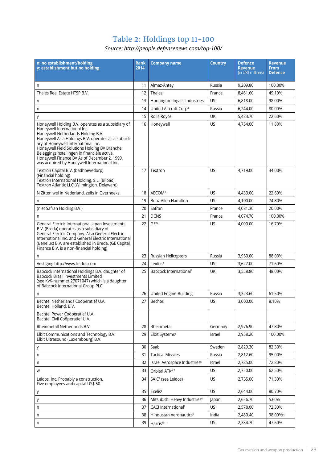#### Table 2: Holdings top 11-100

*Source: http://people.defensenews.com/top-100/*

| n: no establishment/holding<br>y: establishment but no holding                                                                                                                                                                                                                                                                                                                                                          | <b>Rank</b><br>2014 | <b>Company name</b>                      | <b>Country</b> | <b>Defence</b><br><b>Revenue</b> | <b>Revenue</b><br><b>From</b> |
|-------------------------------------------------------------------------------------------------------------------------------------------------------------------------------------------------------------------------------------------------------------------------------------------------------------------------------------------------------------------------------------------------------------------------|---------------------|------------------------------------------|----------------|----------------------------------|-------------------------------|
|                                                                                                                                                                                                                                                                                                                                                                                                                         |                     |                                          |                | (in US\$ millions)               | <b>Defence</b>                |
| n                                                                                                                                                                                                                                                                                                                                                                                                                       | 11                  | Almaz-Antey                              | Russia         | 9,209.80                         | 100.00%                       |
| Thales Real Estate HTSP B.V.                                                                                                                                                                                                                                                                                                                                                                                            | 12                  | Thales <sup>1</sup>                      | France         | 8,461.60                         | 49.10%                        |
| n                                                                                                                                                                                                                                                                                                                                                                                                                       | 13                  | Huntington Ingalls Industries            | US             | 6,818.00                         | 98.00%                        |
| n                                                                                                                                                                                                                                                                                                                                                                                                                       | 14                  | United Aircraft Corp <sup>2</sup>        | Russia         | 6,244.00                         | 80.00%                        |
| у                                                                                                                                                                                                                                                                                                                                                                                                                       | 15                  | Rolls-Royce                              | UK             | 5,433.70                         | 22.60%                        |
| Honeywell Holding B.V. operates as a subsidiary of<br>Honeywell International Inc.<br>Honeywell Netherlands Holding B.V.<br>Honeywell Asia Holdings B.V. operates as a subsidi-<br>ary of Honeywell International Inc.<br>Honeywell Field Solutions Holding BV Branche:<br>Beleggingsinstellingen in financiële activa.<br>Honeywell Finance BV As of December 2, 1999,<br>was acquired by Honeywell International Inc. | 16                  | Honeywell                                | US             | 4,754.00                         | 11.80%                        |
| Textron Capital B.V. (badhoevedorp)<br>(Financial holding)<br>Textron International Holding, S.L. (Bilbao)<br>Textron Atlantic LLC (Wilmington, Delaware)                                                                                                                                                                                                                                                               | 17                  | Textron                                  | US             | 4,719.00                         | 34.00%                        |
| N Zitten wel in Nederland, zelfs in Overhoeks                                                                                                                                                                                                                                                                                                                                                                           | 18                  | AECOM <sup>3</sup>                       | US             | 4,433.00                         | 22.60%                        |
| n                                                                                                                                                                                                                                                                                                                                                                                                                       | 19                  | Booz Allen Hamilton                      | US             | 4,100.00                         | 74.80%                        |
| (niet Safran Holding B.V.)                                                                                                                                                                                                                                                                                                                                                                                              | 20                  | Safran                                   | France         | 4,081.30                         | 20.00%                        |
| n                                                                                                                                                                                                                                                                                                                                                                                                                       | 21                  | <b>DCNS</b>                              | France         | 4,074.70                         | 100.00%                       |
| General Electric International Japan Investments<br>B.V. (Breda) operates as a subsidiary of<br>General Electric Company. Also General Electric<br>International Inc. and General Electric International<br>(Benelux) B.V. are established in Breda. (GE Capital<br>Finance B.V. is a non-financial holding)                                                                                                            | 22                  | GE <sup>24</sup>                         | US             | 4,000.00                         | 16.70%                        |
| n                                                                                                                                                                                                                                                                                                                                                                                                                       | 23                  | Russian Helicopters                      | Russia         | 3,960.00                         | 88.00%                        |
| Vestiging http://www.leidos.com                                                                                                                                                                                                                                                                                                                                                                                         | 24                  | Leidos <sup>4</sup>                      | US             | 3,627.00                         | 71.60%                        |
| Babcock International Holdings B.V. daughter of<br><b>Babcock Brazil Investments Limited</b><br>(see KvK-nummer 27071047) which is a daughter<br>of Babcock International Group PLC                                                                                                                                                                                                                                     | 25                  | Babcock International <sup>2</sup>       | <b>UK</b>      | 3,558.80                         | 48.00%                        |
| n                                                                                                                                                                                                                                                                                                                                                                                                                       | 26                  | United Engine-Building                   | Russia         | 3,323.60                         | 61.50%                        |
| Bechtel Netherlands Coöperatief U.A.<br>Bechtel Holland, B.V.                                                                                                                                                                                                                                                                                                                                                           | 27                  | <b>Bechtel</b>                           | US             | 3.000.00                         | 8.10%                         |
| Bechtel Power Coöperatief U.A.<br>Bechtel Civil Coöperatief U.A.                                                                                                                                                                                                                                                                                                                                                        |                     |                                          |                |                                  |                               |
| Rheinmetall Netherlands B.V.                                                                                                                                                                                                                                                                                                                                                                                            | 28                  | Rheinmetall                              | Germany        | 2,976.90                         | 47.80%                        |
| Elbit Communications and Technology B.V.<br>Elbit Ultrasound (Luxembourg) B.V.                                                                                                                                                                                                                                                                                                                                          | 29                  | Elbit Systems <sup>5</sup>               | Israel         | 2,958.20                         | 100.00%                       |
| у                                                                                                                                                                                                                                                                                                                                                                                                                       | 30                  | Saab                                     | Sweden         | 2,829.30                         | 82.30%                        |
| n                                                                                                                                                                                                                                                                                                                                                                                                                       | 31                  | <b>Tactical Missiles</b>                 | Russia         | 2,812.60                         | 95.00%                        |
| n                                                                                                                                                                                                                                                                                                                                                                                                                       | 32                  | Israel Aerospace Industries <sup>5</sup> | Israel         | 2,785.00                         | 72.80%                        |
| W                                                                                                                                                                                                                                                                                                                                                                                                                       | 33                  | Orbital ATK <sup>67</sup>                | US             | 2,750.00                         | 62.50%                        |
| Leidos, Inc. Probably a construction.<br>Five employees and capital US\$ 50.                                                                                                                                                                                                                                                                                                                                            | 34                  | SAIC <sup>4</sup> (see Leidos)           | US             | 2,735.00                         | 71.30%                        |
| у                                                                                                                                                                                                                                                                                                                                                                                                                       | 35                  | Exelis <sup>8</sup>                      | <b>US</b>      | 2,644.00                         | 80.70%                        |
| у                                                                                                                                                                                                                                                                                                                                                                                                                       | 36                  | Mitsubishi Heavy Industries <sup>6</sup> | Japan          | 2,626.70                         | 5.60%                         |
| n                                                                                                                                                                                                                                                                                                                                                                                                                       | 37                  | CACI International <sup>9</sup>          | US             | 2,578.00                         | 72.30%                        |
| n                                                                                                                                                                                                                                                                                                                                                                                                                       | 38                  | Hindustan Aeronautics <sup>6</sup>       | India          | 2,480.40                         | 98.00%n                       |
| n                                                                                                                                                                                                                                                                                                                                                                                                                       | 39                  | Harris <sup>10 11</sup>                  | US             | 2,384.70                         | 47.60%                        |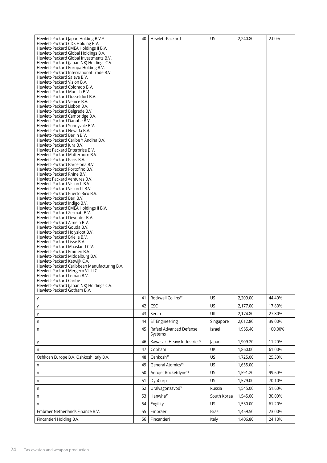| Hewlett-Packard Japan Holding B.V. <sup>23</sup><br>Hewlett-Packard CDS Holding B.V.<br>Hewlett-Packard EMEA Holdings II B.V.<br>Hewlett-Packard Global Holdings B.V.<br>Hewlett-Packard Global Investments B.V.<br>Hewlett-Packard (Japan NK) Holdings C.V.<br>Hewlett-Packard Europa Holding B.V.<br>Hewlett-Packard International Trade B.V.<br>Hewlett-Packard Saleve B.V.<br>Hewlett-Packard Vision B.V.<br>Hewlett-Packard Colorado B.V.<br>Hewlett-Packard Munich B.V.<br>Hewlett-Packard Dusseldorf B.V.<br>Hewlett-Packard Venice B.V.<br>Hewlett-Packard Lisbon B.V.<br>Hewlett-Packard Belgrade B.V.<br>Hewlett-Packard Cambridge B.V.<br>Hewlett-Packard Danube B.V.<br>Hewlett-Packard Sunnyvale B.V.<br>Hewlett-Packard Nevada B.V.<br>Hewlett-Packard Berlin B.V.<br>Hewlett-Packard Caribe Y Andina B.V.<br>Hewlett-Packard Jura B.V.<br>Hewlett Packard Enterprise B.V.<br>Hewlett-Packard Matterhorn B.V.<br>Hewlett-Packard Paris B.V.<br>Hewlett-Packard Barcelona B.V.<br>Hewlett-Packard Portofino B.V.<br>Hewlett-Packard Rhine B.V.<br>Hewlett Packard Ventures B.V.<br>Hewlett-Packard Vision II B.V.<br>Hewlett-Packard Vision III B.V.<br>Hewlett-Packard Puerto Rico B.V.<br>Hewlett-Packard Bari B.V.<br>Hewlett-Packard Indigo B.V.<br>Hewlett-Packard EMEA Holdings II B.V.<br>Hewlett-Packard Zermatt B.V.<br>Hewlett-Packard Deventer B.V.<br>Hewlett-Packard Almelo B.V.<br>Hewlett-Packard Gouda B.V.<br>Hewlett-Packard Holysloot B.V.<br>Hewlett-Packard Brielle B.V.<br>Hewlett-Packard Lisse B.V.<br>Hewlett-Packard Maasland C.V.<br>Hewlett-Packard Emmen B.V.<br>Hewlett-Packard Middelburg B.V. | 40 | Hewlett-Packard                        | US          | 2,240.80 | 2.00%   |
|--------------------------------------------------------------------------------------------------------------------------------------------------------------------------------------------------------------------------------------------------------------------------------------------------------------------------------------------------------------------------------------------------------------------------------------------------------------------------------------------------------------------------------------------------------------------------------------------------------------------------------------------------------------------------------------------------------------------------------------------------------------------------------------------------------------------------------------------------------------------------------------------------------------------------------------------------------------------------------------------------------------------------------------------------------------------------------------------------------------------------------------------------------------------------------------------------------------------------------------------------------------------------------------------------------------------------------------------------------------------------------------------------------------------------------------------------------------------------------------------------------------------------------------------------------------------------------------------------------------------------------------------|----|----------------------------------------|-------------|----------|---------|
| Hewlett-Packard Leman B.V.<br>Hewlett-Packard Caribe                                                                                                                                                                                                                                                                                                                                                                                                                                                                                                                                                                                                                                                                                                                                                                                                                                                                                                                                                                                                                                                                                                                                                                                                                                                                                                                                                                                                                                                                                                                                                                                       |    |                                        |             |          |         |
| Hewlett-Packard (Japan NK) Holdings C.V.<br>Hewlett-Packard Gotham B.V.                                                                                                                                                                                                                                                                                                                                                                                                                                                                                                                                                                                                                                                                                                                                                                                                                                                                                                                                                                                                                                                                                                                                                                                                                                                                                                                                                                                                                                                                                                                                                                    |    |                                        |             |          |         |
| у                                                                                                                                                                                                                                                                                                                                                                                                                                                                                                                                                                                                                                                                                                                                                                                                                                                                                                                                                                                                                                                                                                                                                                                                                                                                                                                                                                                                                                                                                                                                                                                                                                          | 41 | Rockwell Collins <sup>12</sup>         | US          | 2,209.00 | 44.40%  |
| у                                                                                                                                                                                                                                                                                                                                                                                                                                                                                                                                                                                                                                                                                                                                                                                                                                                                                                                                                                                                                                                                                                                                                                                                                                                                                                                                                                                                                                                                                                                                                                                                                                          | 42 | <b>CSC</b>                             | <b>US</b>   | 2,177.00 | 17.80%  |
| у                                                                                                                                                                                                                                                                                                                                                                                                                                                                                                                                                                                                                                                                                                                                                                                                                                                                                                                                                                                                                                                                                                                                                                                                                                                                                                                                                                                                                                                                                                                                                                                                                                          | 43 | Serco                                  | UK          | 2,174.80 | 27.80%  |
| n                                                                                                                                                                                                                                                                                                                                                                                                                                                                                                                                                                                                                                                                                                                                                                                                                                                                                                                                                                                                                                                                                                                                                                                                                                                                                                                                                                                                                                                                                                                                                                                                                                          | 44 | ST Engineering                         | Singapore   | 2,012.80 | 39.00%  |
| n                                                                                                                                                                                                                                                                                                                                                                                                                                                                                                                                                                                                                                                                                                                                                                                                                                                                                                                                                                                                                                                                                                                                                                                                                                                                                                                                                                                                                                                                                                                                                                                                                                          | 45 | Rafael Advanced Defense<br>Systems     | Israel      | 1,965.40 | 100.00% |
| у                                                                                                                                                                                                                                                                                                                                                                                                                                                                                                                                                                                                                                                                                                                                                                                                                                                                                                                                                                                                                                                                                                                                                                                                                                                                                                                                                                                                                                                                                                                                                                                                                                          | 46 | Kawasaki Heavy Industries <sup>6</sup> | Japan       | 1,909.20 | 11.20%  |
| n                                                                                                                                                                                                                                                                                                                                                                                                                                                                                                                                                                                                                                                                                                                                                                                                                                                                                                                                                                                                                                                                                                                                                                                                                                                                                                                                                                                                                                                                                                                                                                                                                                          | 47 | Cobham                                 | UK          | 1,860.00 | 61.00%  |
| Oshkosh Europe B.V. Oshkosh Italy B.V.                                                                                                                                                                                                                                                                                                                                                                                                                                                                                                                                                                                                                                                                                                                                                                                                                                                                                                                                                                                                                                                                                                                                                                                                                                                                                                                                                                                                                                                                                                                                                                                                     | 48 | Oshkosh <sup>12</sup>                  | US          | 1,725.00 | 25.30%  |
| n                                                                                                                                                                                                                                                                                                                                                                                                                                                                                                                                                                                                                                                                                                                                                                                                                                                                                                                                                                                                                                                                                                                                                                                                                                                                                                                                                                                                                                                                                                                                                                                                                                          | 49 | General Atomics <sup>13</sup>          | US          | 1,655.00 |         |
| n                                                                                                                                                                                                                                                                                                                                                                                                                                                                                                                                                                                                                                                                                                                                                                                                                                                                                                                                                                                                                                                                                                                                                                                                                                                                                                                                                                                                                                                                                                                                                                                                                                          | 50 | Aerojet Rocketdyne <sup>14</sup>       | US          | 1,591.20 | 99.60%  |
| n                                                                                                                                                                                                                                                                                                                                                                                                                                                                                                                                                                                                                                                                                                                                                                                                                                                                                                                                                                                                                                                                                                                                                                                                                                                                                                                                                                                                                                                                                                                                                                                                                                          | 51 | DynCorp                                | US          | 1,579.00 | 70.10%  |
| n                                                                                                                                                                                                                                                                                                                                                                                                                                                                                                                                                                                                                                                                                                                                                                                                                                                                                                                                                                                                                                                                                                                                                                                                                                                                                                                                                                                                                                                                                                                                                                                                                                          | 52 | Uralvagonzavod <sup>5</sup>            | Russia      | 1,545.00 | 51.60%  |
| n                                                                                                                                                                                                                                                                                                                                                                                                                                                                                                                                                                                                                                                                                                                                                                                                                                                                                                                                                                                                                                                                                                                                                                                                                                                                                                                                                                                                                                                                                                                                                                                                                                          | 53 | Hanwha <sup>15</sup>                   | South Korea | 1,545.00 | 30.00%  |
| n                                                                                                                                                                                                                                                                                                                                                                                                                                                                                                                                                                                                                                                                                                                                                                                                                                                                                                                                                                                                                                                                                                                                                                                                                                                                                                                                                                                                                                                                                                                                                                                                                                          | 54 | Engility                               | US          | 1,530.00 | 61.20%  |
| Embraer Netherlands Finance B.V.                                                                                                                                                                                                                                                                                                                                                                                                                                                                                                                                                                                                                                                                                                                                                                                                                                                                                                                                                                                                                                                                                                                                                                                                                                                                                                                                                                                                                                                                                                                                                                                                           | 55 | Embraer                                | Brazil      | 1,459.50 | 23.00%  |
| Fincantieri Holding B.V.                                                                                                                                                                                                                                                                                                                                                                                                                                                                                                                                                                                                                                                                                                                                                                                                                                                                                                                                                                                                                                                                                                                                                                                                                                                                                                                                                                                                                                                                                                                                                                                                                   | 56 | Fincantieri                            | Italy       | 1,406.80 | 24.10%  |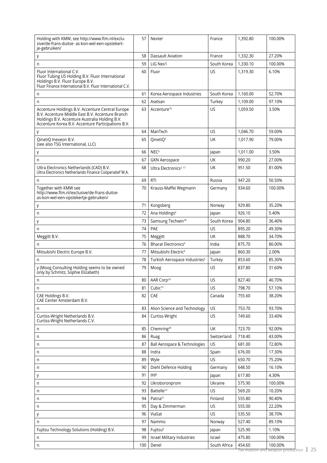| 1,332.30<br>58<br>Dassault Aviation<br>France<br>27.20%<br>у<br>59<br>LIG Nex1<br>South Korea<br>1,330.10<br>100.00%<br>n<br>US.<br>Fluor International C.V.<br>60<br>Fluor<br>1,319.30<br>6.10%<br>Fluor Tubing US Holding B.V. Fluor International                     |  |
|--------------------------------------------------------------------------------------------------------------------------------------------------------------------------------------------------------------------------------------------------------------------------|--|
|                                                                                                                                                                                                                                                                          |  |
|                                                                                                                                                                                                                                                                          |  |
| Holdings B.V. Fluor Europe B.V.<br>Fluor Finance International B.V. Fluor International C.V.                                                                                                                                                                             |  |
| South Korea<br>61<br>Korea Aerospace Industries<br>1.160.00<br>52.70%<br>n                                                                                                                                                                                               |  |
| 62<br>Aselsan<br>Turkey<br>1,109.00<br>97.10%<br>n                                                                                                                                                                                                                       |  |
| Accenture <sup>16</sup><br>3.50%<br>Accenture Holdings B.V. Accenture Central Europe<br>63<br>US<br>1,059.50<br>B.V. Accenture Middle East B.V. Accenture Branch<br>Holdings B.V. Accenture Australia Holding B.V.<br>Accenture Korea B.V. Accenture Participations B.V. |  |
| ManTech<br>US.<br>1,046.70<br>64<br>59.00%<br>у                                                                                                                                                                                                                          |  |
| UK<br>QinetiQ Inexeon B.V.<br>65<br>QinetIQ <sup>2</sup><br>1,017.90<br>79.00%<br>(see also TSG International, LLC)                                                                                                                                                      |  |
| NEC <sup>6</sup><br>66<br>3.50%<br>1,011.00<br>Japan<br>у                                                                                                                                                                                                                |  |
| 67<br>UK<br><b>GKN Aerospace</b><br>990.20<br>27.00%<br>n                                                                                                                                                                                                                |  |
| UK<br>Ultra Electronics Netherlands (CAD) B.V.<br>951.50<br>81.00%<br>68<br>Ultra Electronics <sup>2 17</sup><br>Ultra Electronics Netherlands Finance Coöperatief W.A.                                                                                                  |  |
| 69<br><b>RTI</b><br>Russia<br>947.20<br>50.50%<br>n                                                                                                                                                                                                                      |  |
| Together with KMW see<br>70<br>Krauss-Maffei Wegmann<br>Germany<br>934.60<br>100.00%<br>http://www.ftm.nl/exclusive/de-frans-duitse-<br>as-kon-wel-een-opstekertje-gebruiken/                                                                                            |  |
| 71<br>Kongsberg<br>929.80<br>35.20%<br>Norway<br>у                                                                                                                                                                                                                       |  |
| 72<br>Ana Holdings <sup>6</sup><br>926.10<br>5.40%<br>n<br>Japan                                                                                                                                                                                                         |  |
| Samsung Techwin <sup>18</sup><br>South Korea<br>904.80<br>73<br>36.40%<br>у                                                                                                                                                                                              |  |
| <b>US</b><br>74<br>PAE<br>895.20<br>49.30%<br>n                                                                                                                                                                                                                          |  |
| 75<br>UK<br>Meggitt B.V.<br>888.70<br>34.70%<br>Meggitt                                                                                                                                                                                                                  |  |
| 76<br>Bharat Electronics <sup>6</sup><br>875.70<br>India<br>80.00%<br>n                                                                                                                                                                                                  |  |
| 77<br>Mitsubishi Electric Europe B.V.<br>Mitsubishi Electric <sup>6</sup><br>2.00%<br>860.30<br>Japan                                                                                                                                                                    |  |
| Turkish Aerospace Industries <sup>5</sup><br>Turkey<br>853.60<br>85.30%<br>78<br>n                                                                                                                                                                                       |  |
| y (Moog Consulting Holding seems to be owned<br>79<br>US<br>837.80<br>31.60%<br>Moog<br>only by Schmitz, Sophie Elizabeth)                                                                                                                                               |  |
| $80\,$<br>AAR Corp <sup>19</sup><br>US<br>827.40<br>40.70%<br>n                                                                                                                                                                                                          |  |
| Cubic <sup>12</sup><br>US.<br>81<br>798.70<br>57.10%<br>n                                                                                                                                                                                                                |  |
| CAE Holdings B.V.<br>755.60<br>82<br>CAE<br>Canada<br>38.20%<br>CAE Center Amsterdam B.V.                                                                                                                                                                                |  |
| <b>US</b><br>753.70<br>93.70%<br>83<br>Alion Science and Technology<br>n                                                                                                                                                                                                 |  |
| Curtiss-Wright Netherlands B.V.<br>Curtiss-Wright<br>US<br>749.60<br>84<br>33.40%<br>Curtiss-Wright Netherlands C.V.                                                                                                                                                     |  |
| 85<br>Chemring <sup>20</sup><br>UK<br>723.70<br>92.00%<br>n                                                                                                                                                                                                              |  |
| Switzerland<br>718.40<br>43.00%<br>86<br>Ruag<br>n                                                                                                                                                                                                                       |  |
| US<br>Ball Aerospace & Technologies<br>87<br>681.00<br>72.80%<br>n                                                                                                                                                                                                       |  |
| 676.00<br>88<br>Indra<br>Spain<br>17.30%<br>n                                                                                                                                                                                                                            |  |
| <b>US</b><br>Wyle<br>650.70<br>75.20%<br>89<br>n                                                                                                                                                                                                                         |  |
| Diehl Defence Holding<br>90<br>Germany<br>648.50<br>16.10%<br>n                                                                                                                                                                                                          |  |
| IHI <sup>6</sup><br>617.80<br>4.30%<br>91<br>Japan<br>у                                                                                                                                                                                                                  |  |
| Ukroboronprom<br>Ukraine<br>575.90<br>100.00%<br>92<br>n                                                                                                                                                                                                                 |  |
| Battelle <sup>12</sup><br><b>US</b><br>569.20<br>93<br>10.20%<br>n                                                                                                                                                                                                       |  |
| Patria <sup>21</sup><br>Finland<br>555.80<br>94<br>90.40%<br>n                                                                                                                                                                                                           |  |
| US.<br>555.00<br>22.20%<br>95<br>Day & Zimmerman<br>n                                                                                                                                                                                                                    |  |
| US<br>96<br>ViaSat<br>535.50<br>38.70%<br>у                                                                                                                                                                                                                              |  |
| 527.40<br>97<br>Nammo<br>Norway<br>89.10%<br>n                                                                                                                                                                                                                           |  |
| Fujitsu Technology Solutions (Holding) B.V.<br>Fujitsu <sup>6</sup><br>525.90<br>1.10%<br>98<br>Japan                                                                                                                                                                    |  |
| 99<br>Israel Military Industries<br>475.80<br>Israel<br>100.00%<br>n                                                                                                                                                                                                     |  |
| South Africa<br>454.60<br>100.00%<br>100<br>Denel<br>n                                                                                                                                                                                                                   |  |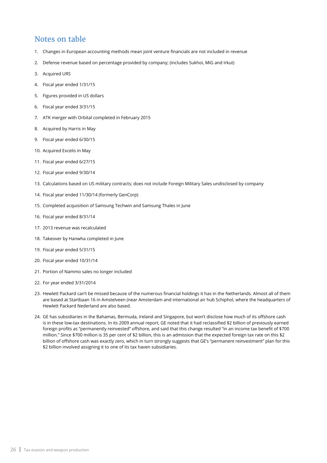#### Notes on table

- 1. Changes in European accounting methods mean joint venture financials are not included in revenue
- 2. Defense revenue based on percentage provided by company; (includes Sukhoi, MiG and Irkut)
- 3. Acquired URS
- 4. Fiscal year ended 1/31/15
- 5. Figures provided in US dollars
- 6. Fiscal year ended 3/31/15
- 7. ATK merger with Orbital completed in February 2015
- 8. Acquired by Harris in May
- 9. Fiscal year ended 6/30/15
- 10. Acquired Excelis in May
- 11. Fiscal year ended 6/27/15
- 12. Fiscal year ended 9/30/14
- 13. Calculations based on US military contracts; does not include Foreign Military Sales undisclosed by company
- 14. Fiscal year ended 11/30/14 (formerly GenCorp)
- 15. Completed acquisition of Samsung Techwin and Samsung Thales in June
- 16. Fiscal year ended 8/31/14
- 17. 2013 revenue was recalculated
- 18. Takeover by Hanwha completed in June
- 19. Fiscal year ended 5/31/15
- 20. Fiscal year ended 10/31/14
- 21. Portion of Nammo sales no longer included
- 22. For year ended 3/31/2014
- 23. Hewlett Packard can't be missed because of the numerous financial holdings it has in the Netherlands. Almost all of them are based at Startbaan 16 in Amstelveen (near Amsterdam and international air hub Schiphol, where the headquarters of Hewlett Packard Nederland are also based.
- 24. GE has subsidiaries in the Bahamas, Bermuda, Ireland and Singapore, but won't disclose how much of its offshore cash is in these low-tax destinations. In its 2009 annual report, GE noted that it had reclassified \$2 billion of previously earned foreign profits as "permanently reinvested" offshore, and said that this change resulted "in an income tax benefit of \$700 million." Since \$700 million is 35 per cent of \$2 billion, this is an admission that the expected foreign tax rate on this \$2 billion of offshore cash was exactly zero, which in turn strongly suggests that GE's "permanent reinvestment" plan for this \$2 billion involved assigning it to one of its tax haven subsidiaries.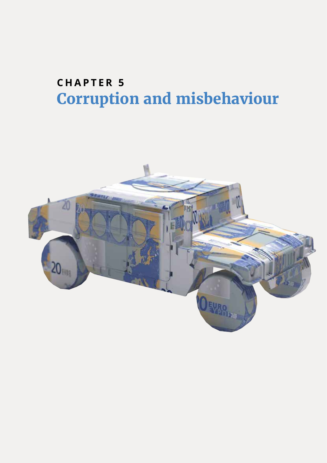### **CHAPTER 5 Corruption and misbehaviour**

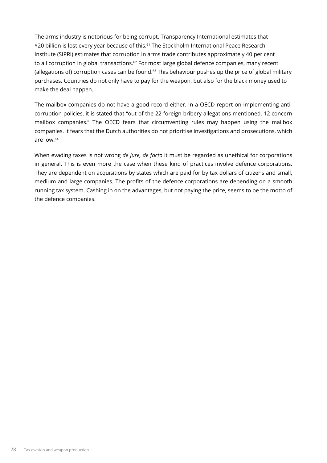The arms industry is notorious for being corrupt. Transparency International estimates that \$20 billion is lost every year because of this.<sup>61</sup> The Stockholm International Peace Research Institute (SIPRI) estimates that corruption in arms trade contributes approximately 40 per cent to all corruption in global transactions.<sup>62</sup> For most large global defence companies, many recent (allegations of) corruption cases can be found. $63$  This behaviour pushes up the price of global military purchases. Countries do not only have to pay for the weapon, but also for the black money used to make the deal happen.

The mailbox companies do not have a good record either. In a OECD report on implementing anticorruption policies, it is stated that "out of the 22 foreign bribery allegations mentioned, 12 concern mailbox companies." The OECD fears that circumventing rules may happen using the mailbox companies. It fears that the Dutch authorities do not prioritise investigations and prosecutions, which are low.<sup>64</sup>

When evading taxes is not wrong *de jure, de facto* it must be regarded as unethical for corporations in general. This is even more the case when these kind of practices involve defence corporations. They are dependent on acquisitions by states which are paid for by tax dollars of citizens and small, medium and large companies. The profits of the defence corporations are depending on a smooth running tax system. Cashing in on the advantages, but not paying the price, seems to be the motto of the defence companies.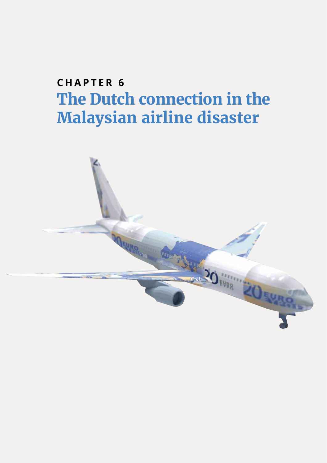# **CHAPTER 6 The Dutch connection in the Malaysian airline disaster**

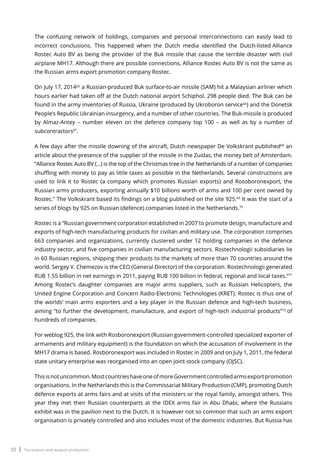The confusing network of holdings, companies and personal interconnections can easily lead to incorrect conclusions. This happened when the Dutch media identified the Dutch-listed Alliance Rostec Auto BV as being the provider of the Buk missile that cause the terrible disaster with civil airplane MH17. Although there are possible connections, Alliance Rostec Auto BV is not the same as the Russian arms export promotion company Rostec.

On July 17, 2014<sup>65</sup> a Russian-produced Buk surface-to-air missile (SAM) hit a Malaysian airliner which hours earlier had taken off at the Dutch national airport Schiphol. 298 people died. The Buk can be found in the army inventories of Russia, Ukraine (produced by Ukroboron service<sup>66</sup>) and the Donetsk People's Republic Ukrainian insurgency, and a number of other countries. The Buk-missile is produced by Almaz-Antey – number eleven on the defence company top 100 – as well as by a number of subcontractors<sup>67</sup>.

A few days after the missile downing of the aircraft, Dutch newspaper De Volkskrant published<sup>68</sup> an article about the presence of the supplier of the missile in the Zuidas, the money belt of Amsterdam. "Alliance Rostec Auto BV (…) is the top of the Christmas tree in the Netherlands of a number of companies shuffling with money to pay as little taxes as possible in the Netherlands. Several constructions are used to link it to Rostec (a company which promotes Russian exports) and Rosoboronexport, the Russian arms producers, exporting annually \$10 billions worth of arms and 100 per cent owned by Rostec." The Volkskrant based its findings on a blog published on the site 925.<sup>69</sup> It was the start of a series of blogs by 925 on Russian (defence) companies listed in the Netherlands.<sup>70</sup>

Rostec is a "Russian government corporation established in 2007 to promote design, manufacture and exports of high-tech manufacturing products for civilian and military use. The corporation comprises 663 companies and organizations, currently clustered under 12 holding companies in the defence industry sector, and five companies in civilian manufacturing sectors. Rostechnologii subsidiaries lie in 60 Russian regions, shipping their products to the markets of more than 70 countries around the world. Sergey V. Chemezov is the CEO (General Director) of the corporation. Rostechnologii generated RUB 1.55 billion in net earnings in 2011, paying RUB 100 billion in federal, regional and local taxes."<sup>71</sup> Among Rostec's daughter companies are major arms suppliers, such as Russian Helicopters, the United Engine Corporation and Concern Radio-Electronic Technologies (KRET). Rostec is thus one of the worlds' main arms exporters and a key player in the Russian defence and high-tech business, aiming "to further the development, manufacture, and export of high-tech industrial products"<sup>72</sup> of hundreds of companies.

For weblog 925, the link with Rosboronexport (Russian government-controlled specialized exporter of armaments and military equipment) is the foundation on which the accusation of involvement in the MH17 drama is based. Rosboronexport was included in Rostec in 2009 and on July 1, 2011, the federal state unitary enterprise was reorganised into an open joint-stock company (OJSC).

This is not uncommon. Most countries have one of more Government controlled arms export promotion organisations. In the Netherlands this is the Commissariat Military Production (CMP), promoting Dutch defence exports at arms fairs and at visits of the ministers or the royal family, amongst others. This year they met their Russian counterparts at the IDEX arms fair in Abu Dhabi, where the Russians exhibit was in the pavilion next to the Dutch. It is however not so common that such an arms export organisation is privately controlled and also includes most of the domestic industries. But Russia has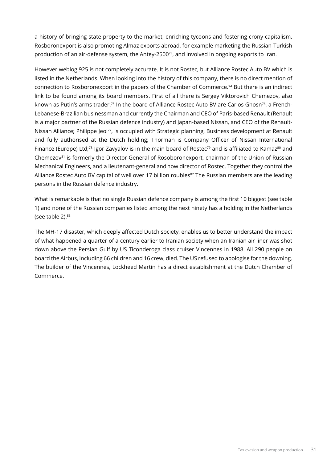a history of bringing state property to the market, enriching tycoons and fostering crony capitalism. Rosboronexport is also promoting Almaz exports abroad, for example marketing the Russian-Turkish production of an air-defense system, the Antey-2500<sup>73</sup>, and involved in ongoing exports to Iran.

However weblog 925 is not completely accurate. It is not Rostec, but Alliance Rostec Auto BV which is listed in the Netherlands. When looking into the history of this company, there is no direct mention of connection to Rosboronexport in the papers of the Chamber of Commerce.74 But there is an indirect link to be found among its board members. First of all there is Sergey Viktorovich Chemezov, also known as Putin's arms trader.<sup>75</sup> In the board of Alliance Rostec Auto BV are Carlos Ghosn<sup>76</sup>, a French-Lebanese-Brazilian businessman and currently the Chairman and CEO of Paris-based Renault (Renault is a major partner of the Russian defence industry) and Japan-based Nissan, and CEO of the Renault-Nissan Alliance; Philippe Jeol<sup>77</sup>, is occupied with Strategic planning, Business development at Renault and fully authorised at the Dutch holding; Thorman is Company Officer of Nissan International Finance (Europe) Ltd;<sup>78</sup> Igor Zavyalov is in the main board of Rostec<sup>79</sup> and is affiliated to Kamaz<sup>80</sup> and Chemezov<sup>81</sup> is formerly the Director General of Rosoboronexport, chairman of the Union of Russian Mechanical Engineers, and a lieutenant-general andnow director of Rostec. Together they control the Alliance Rostec Auto BV capital of well over 17 billion roubles<sup>82</sup> The Russian members are the leading persons in the Russian defence industry.

What is remarkable is that no single Russian defence company is among the first 10 biggest (see table 1) and none of the Russian companies listed among the next ninety has a holding in the Netherlands (see table  $2$ ). $83$ 

The MH-17 disaster, which deeply affected Dutch society, enables us to better understand the impact of what happened a quarter of a century earlier to Iranian society when an Iranian air liner was shot down above the Persian Gulf by US Ticonderoga class cruiser Vincennes in 1988. All 290 people on board the Airbus, including 66 children and 16 crew, died. The US refused to apologise for the downing. The builder of the Vincennes, Lockheed Martin has a direct establishment at the Dutch Chamber of Commerce.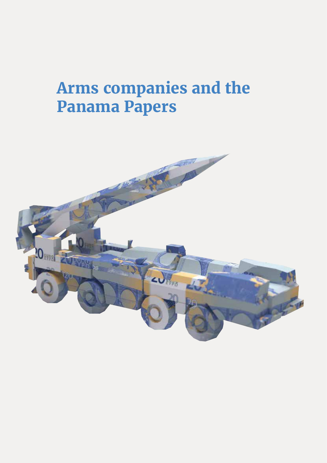# **Arms companies and the Panama Papers**

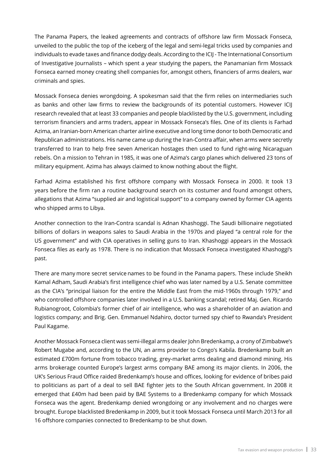The Panama Papers, the leaked agreements and contracts of offshore law firm Mossack Fonseca, unveiled to the public the top of the iceberg of the legal and semi-legal tricks used by companies and individuals to evade taxes and finance dodgy deals. According to the ICIJ - The International Consortium of Investigative Journalists – which spent a year studying the papers, the Panamanian firm Mossack Fonseca earned money creating shell companies for, amongst others, financiers of arms dealers, war criminals and spies.

Mossack Fonseca denies wrongdoing. A spokesman said that the firm relies on intermediaries such as banks and other law firms to review the backgrounds of its potential customers. However ICIJ research revealed that at least 33 companies and people blacklisted by the U.S. government, including terrorism financiers and arms traders, appear in Mossack Fonseca's files. One of its clients is Farhad Azima, an Iranian-born American charter airline executive and long time donor to both Democratic and Republican administrations. His name came up during the Iran-Contra affair, when arms were secretly transferred to Iran to help free seven American hostages then used to fund right-wing Nicaraguan rebels. On a mission to Tehran in 1985, it was one of Azima's cargo planes which delivered 23 tons of military equipment. Azima has always claimed to know nothing about the flight.

Farhad Azima established his first offshore company with Mossack Fonseca in 2000. It took 13 years before the firm ran a routine background search on its costumer and found amongst others, allegations that Azima "supplied air and logistical support" to a company owned by former CIA agents who shipped arms to Libya.

Another connection to the Iran-Contra scandal is Adnan Khashoggi. The Saudi billionaire negotiated billions of dollars in weapons sales to Saudi Arabia in the 1970s and played "a central role for the US government" and with CIA operatives in selling guns to Iran. Khashoggi appears in the Mossack Fonseca files as early as 1978. There is no indication that Mossack Fonseca investigated Khashoggi's past.

There are many more secret service names to be found in the Panama papers. These include Sheikh Kamal Adham, Saudi Arabia's first intelligence chief who was later named by a U.S. Senate committee as the CIA's "principal liaison for the entire the Middle East from the mid-1960s through 1979," and who controlled offshore companies later involved in a U.S. banking scandal; retired Maj. Gen. Ricardo Rubianogroot, Colombia's former chief of air intelligence, who was a shareholder of an aviation and logistics company; and Brig. Gen. Emmanuel Ndahiro, doctor turned spy chief to Rwanda's President Paul Kagame.

Another Mossack Fonseca client was semi-illegal arms dealer John Bredenkamp, a crony of Zimbabwe's Robert Mugabe and, according to the UN, an arms provider to Congo's Kabila. Bredenkamp built an estimated £700m fortune from tobacco trading, grey-market arms dealing and diamond mining. His arms brokerage counted Europe's largest arms company BAE among its major clients. In 2006, the UK's Serious Fraud Office raided Bredenkamp's house and offices, looking for evidence of bribes paid to politicians as part of a deal to sell BAE fighter jets to the South African government. In 2008 it emerged that £40m had been paid by BAE Systems to a Bredenkamp company for which Mossack Fonseca was the agent. Bredenkamp denied wrongdoing or any involvement and no charges were brought. Europe blacklisted Bredenkamp in 2009, but it took Mossack Fonseca until March 2013 for all 16 offshore companies connected to Bredenkamp to be shut down.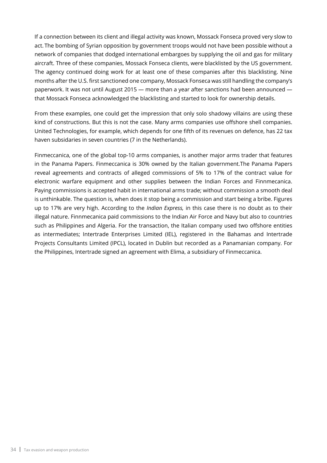If a connection between its client and illegal activity was known, Mossack Fonseca proved very slow to act. The bombing of Syrian opposition by government troops would not have been possible without a network of companies that dodged international embargoes by supplying the oil and gas for military aircraft. Three of these companies, Mossack Fonseca clients, were blacklisted by the US government. The agency continued doing work for at least one of these companies after this blacklisting. Nine months after the U.S. first sanctioned one company, Mossack Fonseca was still handling the company's paperwork. It was not until August 2015 — more than a year after sanctions had been announced that Mossack Fonseca acknowledged the blacklisting and started to look for ownership details.

From these examples, one could get the impression that only solo shadowy villains are using these kind of constructions. But this is not the case. Many arms companies use offshore shell companies. United Technologies, for example, which depends for one fifth of its revenues on defence, has 22 tax haven subsidaries in seven countries (7 in the Netherlands).

Finmeccanica, one of the global top-10 arms companies, is another major arms trader that features in the Panama Papers. Finmeccanica is 30% owned by the Italian government.The Panama Papers reveal agreements and contracts of alleged commissions of 5% to 17% of the contract value for electronic warfare equipment and other supplies between the Indian Forces and Finnmecanica. Paying commissions is accepted habit in international arms trade; without commission a smooth deal is unthinkable. The question is, when does it stop being a commission and start being a bribe. Figures up to 17% are very high. According to the *Indian Express,* in this case there is no doubt as to their illegal nature. Finnmecanica paid commissions to the Indian Air Force and Navy but also to countries such as Philippines and Algeria. For the transaction, the Italian company used two offshore entities as intermediates; Intertrade Enterprises Limited (IEL), registered in the Bahamas and Intertrade Projects Consultants Limited (IPCL), located in Dublin but recorded as a Panamanian company. For the Philippines, Intertrade signed an agreement with Elima, a subsidiary of Finmeccanica.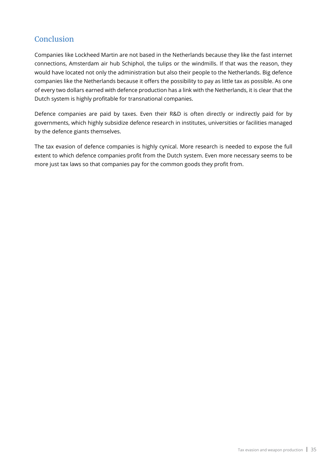#### **Conclusion**

Companies like Lockheed Martin are not based in the Netherlands because they like the fast internet connections, Amsterdam air hub Schiphol, the tulips or the windmills. If that was the reason, they would have located not only the administration but also their people to the Netherlands. Big defence companies like the Netherlands because it offers the possibility to pay as little tax as possible. As one of every two dollars earned with defence production has a link with the Netherlands, it is clear that the Dutch system is highly profitable for transnational companies.

Defence companies are paid by taxes. Even their R&D is often directly or indirectly paid for by governments, which highly subsidize defence research in institutes, universities or facilities managed by the defence giants themselves.

The tax evasion of defence companies is highly cynical. More research is needed to expose the full extent to which defence companies profit from the Dutch system. Even more necessary seems to be more just tax laws so that companies pay for the common goods they profit from.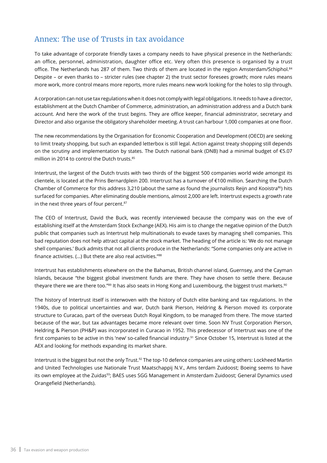#### Annex: The use of Trusts in tax avoidance

To take advantage of corporate friendly taxes a company needs to have physical presence in the Netherlands: an office, personnel, administration, daughter office etc. Very often this presence is organised by a trust office. The Netherlands has 287 of them. Two thirds of them are located in the region Amsterdam/Schiphol.<sup>84</sup> Despite – or even thanks to – stricter rules (see chapter 2) the trust sector foresees growth; more rules means more work, more control means more reports, more rules means new work looking for the holes to slip through.

A corporation can not use tax regulations when it does not comply with legal obligations. It needs to have a director, establishment at the Dutch Chamber of Commerce, administration, an administration address and a Dutch bank account. And here the work of the trust begins. They are office keeper, financial administrator, secretary and Director and also organise the obligatory shareholder meeting. A trust can harbour 1,000 companies at one floor.

The new recommendations by the Organisation for Economic Cooperation and Development (OECD) are seeking to limit treaty shopping, but such an expanded letterbox is still legal. Action against treaty shopping still depends on the scrutiny and implementation by states. The Dutch national bank (DNB) had a minimal budget of €5.07 million in 2014 to control the Dutch trusts.<sup>85</sup>

Intertrust, the largest of the Dutch trusts with two thirds of the biggest 500 companies world wide amongst its clientele, is located at the Prins Bernardplein 200. Intertrust has a turnover of €100 million. Searching the Dutch Chamber of Commerce for this address 3,210 (about the same as found the journalists Reijn and Kooistra<sup>86</sup>) hits surfaced for companies. After eliminating double mentions, almost 2,000 are left. Intertrust expects a growth rate in the next three years of four percent.<sup>87</sup>

The CEO of Intertrust, David the Buck, was recently interviewed because the company was on the eve of establishing itself at the Amsterdam Stock Exchange (AEX). His aim is to change the negative opinion of the Dutch public that companies such as Intertrust help multinationals to evade taxes by managing shell companies. This bad reputation does not help attract capital at the stock market. The heading of the article is: 'We do not manage shell companies.' Buck admits that not all clients produce in the Netherlands: "Some companies only are active in finance activities. (...) But thete are also real activities."<sup>88</sup>

Intertrust has establishments elsewhere on the the Bahamas, British channel island, Guernsey, and the Cayman Islands, because "the biggest global investment funds are there. They have chosen to settle there. Because theyare there we are there too."89 It has also seats in Hong Kong and Luxembourg, the biggest trust markets.90

The history of Intertrust itself is interwoven with the history of Dutch elite banking and tax regulations. In the 1940s, due to political uncertainties and war, Dutch bank Pierson, Heldring & Pierson moved its corporate structure to Curacao, part of the overseas Dutch Royal Kingdom, to be managed from there. The move started because of the war, but tax advantages became more relevant over time. Soon NV Trust Corporation Pierson, Heldring & Pierson (PH&P) was incorporated in Curacao in 1952. This predecessor of Intertrust was one of the first companies to be active in this 'new' so-called financial industry.<sup>91</sup> Since October 15, Intertrust is listed at the AEX and looking for methods expanding its market share.

Intertrust is the biggest but not the only Trust.<sup>92</sup> The top-10 defence companies are using others: Lockheed Martin and United Technologies use Nationale Trust Maatschappij N.V., Ams terdam Zuidoost; Boeing seems to have its own employee at the Zuidas<sup>93</sup>; BAES uses SGG Management in Amsterdam Zuidoost; General Dynamics used Orangefield (Netherlands).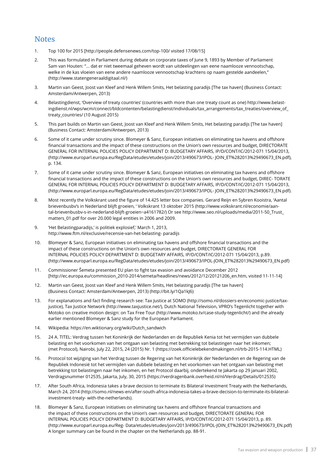#### **Notes**

- 1. Top 100 for 2015 [http://people.defensenews.com/top-100/ visited 17/08/15]
- 2. This was formulated in Parliament during debate on corporate taxes of June 9, 1893 by Member of Parliament Sam van Houten: "... dat er niet tweemaal geheven wordt van uitdeelingen van eene naamlooze vennootschap, welke in de kas vloeien van eene andere naamlooze vennootschap krachtens op naam gestelde aandeelen," (http://www.statengeneraaldigitaal.nl/)
- 3. Martin van Geest, Joost van Kleef and Henk Willem Smits, Het belasting paradijs [The tax haven] (Business Contact: Amsterdam/Antwerpen, 2013)
- 4. Belastingdienst, 'Overview of treaty countries' (countries with more than one treaty count as one) http://www.belastingdienst.nl/wps/wcm/connect/bldcontenten/belastingdienst/individuals/tax\_arrangements/tax\_treaties/overview\_of\_ treaty\_countries/ (10 August 2015)
- 5. This part builds on Martin van Geest, Joost van Kleef and Henk Willem Smits, Het belasting paradijs [The tax haven] (Business Contact: Amsterdam/Antwerpen, 2013)
- 6. Some of it came under scrutiny since. Blomeyer & Sanz, European initiatives on eliminating tax havens and offshore financial transactions and the impact of these constructions on the Union's own resources and budget, DIRECTORATE GENERAL FOR INTERNAL POLICIES POLICY DEPARTMENT D: BUDGETARY AFFAIRS, IP/D/CONT/IC/2012-071 15/04/2013, (http://www.europarl.europa.eu/RegData/etudes/etudes/join/2013/490673/IPOL- JOIN\_ET%282013%29490673\_EN.pdf), p. 134.
- 7. Some of it came under scrutiny since. Blomeyer & Sanz, European initiatives on eliminating tax havens and offshore financial transactions and the impact of these constructions on the Union's own resources and budget, DIREC- TORATE GENERAL FOR INTERNAL POLICIES POLICY DEPARTMENT D: BUDGETARY AFFAIRS, IP/D/CONT/IC/2012-071 15/04/2013, (http://www.europarl.europa.eu/RegData/etudes/etudes/join/2013/490673/IPOL- JOIN\_ET%282013%29490673\_EN.pdf).
- 8. Most recently the Volkskrant used the figure of 14.425 letter box companies. Gerard Reijn en Sybren Kooistra, 'Aantal brievenbusbv's in Nederland blijft groeien, ' Volkskrant 13 oktober 2015 (http://www.volkskrant.nl/economie/aantal-brievenbusbv-s-in-nederland-blijft-groeien~a4161782/) Or see http://www.seo.nl/uploads/media/2011-50\_Trust\_ matters\_01.pdf for over 20.000 legal entities in 2006 and 2009.
- 9. 'Het Belastingparadijs,' is politiek explosief,' March 1, 2013, http://www.ftm.nl/exclusive/recensie-van-het-belasting- paradijs
- 10. Blomeyer & Sanz, European initiatives on eliminating tax havens and offshore financial transactions and the impact of these constructions on the Union's own resources and budget, DIRECTORATE GENERAL FOR INTERNAL POLICIES POLICY DEPARTMENT D: BUDGETARY AFFAIRS, IP/D/CONT/IC/2012-071 15/04/2013, p.89. (http://www.europarl.europa.eu/RegData/etudes/etudes/join/2013/490673/IPOL-JOIN\_ET%282013%29490673\_EN.pdf)
- 11. Commissioner Šemeta presented EU plan to fight tax evasion and avoidance December 2012 [http://ec.europa.eu/commission\_2010-2014/semeta/headlines/news/2012/12/20121206\_en.htm, visited 11-11-14]
- 12. Martin van Geest, Joost van Kleef and Henk Willem Smits, Het belasting paradijs [The tax haven] (Business Contact: Amsterdam/Antwerpen, 2013) (http://bit.ly/1Qa1kJ6)
- 13. For explanations and fact finding research see: Tax Justice at SOMO (http://somo.nl/dossiers-en/economic-justice/taxjustice), Tax Justice Network (http://www.taxjustice.net/), Dutch National Television, VPRO's Tegenlicht together with Motoko on creative motion design: on Tax Free Tour (http://www.motoko.tv/case-study-tegenlicht/) and the already earlier mentioned Blomeyer & Sanz study for the European Parliament.
- 14. Wikipedia: https://en.wiktionary.org/wiki/Dutch\_sandwich
- 15. 24 A. TITEL: Verdrag tussen het Koninkrijk der Nederlanden en de Republiek Kenia tot het vermijden van dubbele belasting en het voorkomen van het ontgaan van belasting met betrekking tot belastingen naar het inkomen; (met Protocol), Nairobi, July 22, 2015, 24 (2015) Nr. 1 (https://zoek.officielebekendmakingen.nl/trb-2015-114.HTML)
- 16. Protocol tot wijziging van het Verdrag tussen de Regering van het Koninkrijk der Nederlanden en de Regering van de Republiek Indonesië tot het vermijden van dubbele belasting en het voorkomen van het ontgaan van belasting met betrekking tot belastingen naar het inkomen, en het Protocol daarbij, ondertekend te Jakarta op 29 januari 2002, Verdragsnummer 012535, Jakarta, July, 30, 2015 (https://verdragenbank.overheid.nl/nl/Verdrag/Details/012535)
- 17. After South Africa, Indonesia takes a brave decision to terminate its Bilateral Investment Treaty with the Netherlands, March 24, 2014 (http://somo.nl/news-en/after-south-africa-indonesia-takes-a-brave-decision-to-terminate-its-bilateralinvestment-treaty- with-the-netherlands).
- 18. Blomeyer & Sanz, European initiatives on eliminating tax havens and offshore financial transactions and the impact of these constructions on the Union's own resources and budget, DIRECTORATE GENERAL FOR INTERNAL POLICIES POLICY DEPARTMENT D: BUDGETARY AFFAIRS, IP/D/CONT/IC/2012-071 15/04/2013, p. 89. (http://www.europarl.europa.eu/Reg- Data/etudes/etudes/join/2013/490673/IPOL-JOIN\_ET%282013%29490673\_EN.pdf) A longer summary can be found in the chapter on the Netherlands pp. 88-91.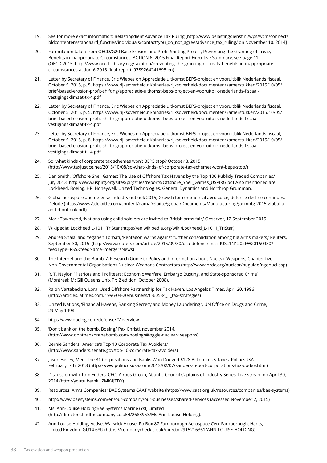- 19. See for more exact information: Belastingdient Advance Tax Ruling [http://www.belastingdienst.nl/wps/wcm/connect/ bldcontenten/standaard\_functies/individuals/contact/you\_do\_not\_agree/advance\_tax\_ruling/ on November 10, 2014]
- 20. Formulation taken from OECD/G20 Base Erosion and Profit Shifting Project, Preventing the Granting of Treaty Benefits in Inappropriate Circumstances; ACTION 6: 2015 Final Report Executive Summary, see page 11. (OECD 2015, http://www.oecd-ilibrary.org/taxation/preventing-the-granting-of-treaty-benefits-in-inappropriatecircumstances-action-6-2015-final-report\_9789264241695-en)
- 21. Letter by Secretary of Finance, Eric Wiebes on Appreciatie uitkomst BEPS-project en vooruitblik Nederlands fiscaal, October 5, 2015, p. 5. https://www.rijksoverheid.nl/binaries/rijksoverheid/documenten/kamerstukken/2015/10/05/ brief-based-erosion-profit-shifting/appreciatie-uitkomst-beps-project-en-vooruitblik-nederlands-fiscaalvestigingsklimaat-tk-4.pdf
- 22. Letter by Secretary of Finance, Eric Wiebes on Appreciatie uitkomst BEPS-project en vooruitblik Nederlands fiscaal, October 5, 2015, p. 5. https://www.rijksoverheid.nl/binaries/rijksoverheid/documenten/kamerstukken/2015/10/05/ brief-based-erosion-profit-shifting/appreciatie-uitkomst-beps-project-en-vooruitblik-nederlands-fiscaalvestigingsklimaat-tk-4.pdf
- 23. Letter by Secretary of Finance, Eric Wiebes on Appreciatie uitkomst BEPS-project en vooruitblik Nederlands fiscaal, October 5, 2015, p. 8. https://www.rijksoverheid.nl/binaries/rijksoverheid/documenten/kamerstukken/2015/10/05/ brief-based-erosion-profit-shifting/appreciatie-uitkomst-beps-project-en-vooruitblik-nederlands-fiscaalvestigingsklimaat-tk-4.pdf
- 24. So: what kinds of corporate tax schemes won't BEPS stop? October 8, 2015 (http://www.taxjustice.net/2015/10/08/so-what-kinds- of-corporate-tax-schemes-wont-beps-stop/)
- 25. Dan Smith, 'Offshore Shell Games; The Use of Offshore Tax Havens by the Top 100 Publicly Traded Companies,' July 2013, http://www.uspirg.org/sites/pirg/files/reports/Offshore\_Shell\_Games\_USPIRG.pdf Also mentioned are Lockheed, Boeing, HP, Honeywell, United Technologies, General Dynamics and Northrop Grumman.
- 26. Global aerospace and defense industry outlook 2015; Growth for commercial aerospace; defense decline continues, Deloite (https://www2.deloitte.com/content/dam/Deloitte/global/Documents/Manufacturing/gx-mnfg-2015-global-aand-d-outlook.pdf)
- 27. Mark Townsend, 'Nations using child soldiers are invited to British arms fair,' Observer, 12 September 2015.
- 28. Wikipedia: Lockheed L-1011 TriStar (https://en.wikipedia.org/wiki/Lockheed L-1011 TriStar)
- 29. Andrea Shalal and Yeganeh Torbati, 'Pentagon warns against further consolidation among big arms makers,' Reuters, September 30, 2015. (http://www.reuters.com/article/2015/09/30/usa-defense-ma-idUSL1N1202FW20150930? feedType=RSS&feedName=mergersNews)
- 30. The Internet and the Bomb: A Research Guide to Policy and Information about Nuclear Weapons, Chapter five: Non-Governmental Organisations Nuclear Weapons Contractors (http://www.nrdc.org/nuclear/nuguide/ngonucl.asp)
- 31. R. T. Naylor, ' Patriots and Profiteers: Economic Warfare, Embargo Busting, and State-sponsored Crime' (Montreal: McGill Queens Unix Pr; 2 edition, October 2008).
- 32. Ralph Vartabedian, Loral Used Offshore Partnership for Tax Haven, Los Angelos Times, April 20, 1996 (http://articles.latimes.com/1996-04-20/business/fi-60584\_1\_tax-strategies)
- 33. United Nations, 'Financial Havens, Banking Secrecy and Money Laundering ', UN Office on Drugs and Crime, 29 May 1998.
- 34. http://www.boeing.com/defense/#/overview
- 35. 'Don't bank on the bomb, Boeing,' Pax Christi, november 2014, (http://www.dontbankonthebomb.com/boeing/#toggle-nuclear-weapons)
- 36. Bernie Sanders, 'America's Top 10 Corporate Tax Avoiders,' (http://www.sanders.senate.gov/top-10-corporate-tax-avoiders)
- 37. Jason Easley, Meet The 31 Corporations and Banks Who Dodged \$128 Billion in US Taxes, PoliticsUSA, February, 7th, 2013 (http://www.politicususa.com/2013/02/07/sanders-report-corporations-tax-dodge.html)
- 38. Discussion with Tom Enders, CEO, Airbus Group, Atlantic Council Captains of Industry Series, Live stream on April 30, 2014 (http://youtu.be/hkUZMK4JTDY)
- 39. Resources; Arms Companies; BAE Systems CAAT website (https://www.caat.org.uk/resources/companies/bae-systems)
- 40. http://www.baesystems.com/en/our-company/our-businesses/shared-services (accessed November 2, 2015)
- 41. Ms. Ann-Louise HoldingBae Systems Marine (Ysl) Limited (http://directors.findthecompany.co.uk/l/2688953/Ms-Ann-Louise-Holding).
- 42. Ann-Louise Holding; Active: Warwick House, Po Box 87 Farnborough Aerospace Cen, Farnborough, Hants, United Kingdom GU14 6YU (https://companycheck.co.uk/director/915216361/ANN-LOUISE-HOLDING).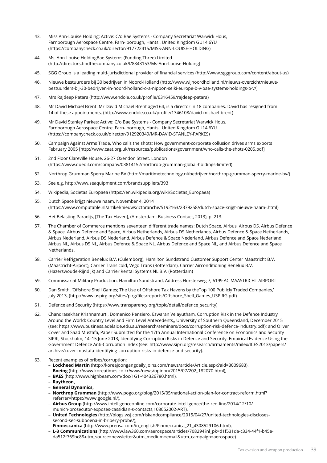- 43. Miss Ann-Louise Holding; Active: C/o Bae Systems Company Secretariat Warwick Hous, Farnborough Aerospace Centre, Farn- borough, Hants., United Kingdom GU14 6YU (https://companycheck.co.uk/director/917722415/MISS-ANN-LOUISE-HOLDING)
- 44. Ms. Ann-Louise HoldingBae Systems (Funding Three) Limited (http://directors.findthecompany.co.uk/l/8343153/Ms-Ann-Louise-Holding)
- 45. SGG Group is a leading multi-jurisdictional provider of financial services (http://www.sgggroup.com/content/about-us)
- 46. Nieuwe bestuurders bij 30 bedrijven in Noord-Holland (http://www.wijnoordholland.nl/nieuws-overzicht/nieuwebestuurders-bij-30-bedrijven-in-noord-holland-o-a-nippon-seiki-europe-b-v-bae-systems-holdings-b-v/)
- 47. Mrs Rajdeep Patara (http://www.endole.co.uk/profile/6316459/rajdeep-patara)
- 48. Mr David Michael Brent: Mr David Michael Brent aged 64, is a director in 18 companies. David has resigned from 14 of these appointments. (http://www.endole.co.uk/profile/1346108/david-michael-brent)
- 49. Mr David Stanley Parkes; Active: C/o Bae Systems Company Secretariat Warwick Hous, Farnborough Aerospace Centre, Farn- borough, Hants., United Kingdom GU14 6YU (https://companycheck.co.uk/director/912920349/MR-DAVID-STANLEY-PARKES)
- 50. Campaign Against Arms Trade, Who calls the shots; How government-corporate collusion drives arms exports February 2005 [http://www.caat.org.uk/resources/publications/government/who-calls-the-shots-0205.pdf]
- 51. 2nd Floor Clareville House, 26-27 Oxendon Street. London (https://www.duedil.com/company/03814152/northrop-grumman-global-holdings-limited)
- 52. Northrop Grumman Sperry Marine BV (http://maritimetechnology.nl/bedrijven/northrop-grumman-sperry-marine-bv/)
- 53. See e.g. http://www.seaquipment.com/brandsuppliers/393
- 54. Wikipedia, Societas Europaea (https://en.wikipedia.org/wiki/Societas\_Europaea)
- 55. Dutch Space krijgt nieuwe naam, November 4, 2014 (https://www.computable.nl/artikel/nieuws/ictbranche/5192163/2379258/dutch-space-krijgt-nieuwe-naam-.html)
- 56. Het Belasting Paradijs, [The Tax Haven], (Amsterdam: Business Contact, 2013), p. 213.
- 57. The Chamber of Commerce mentions seventeen different trade names: Dutch Space, Airbus, Airbus DS, Airbus Defence & Space, Airbus Defence and Space, Airbus Netherlands, Airbus DS Netherlands, Airbus Defence & Space Netherlands, Airbus Nederland, Airbus DS Nederland, Airbus Defence & Space Nederland, Airbus Defence and Space Nederland, Airbus NL, Airbus DS NL, Airbus Defence & Space NL, Airbus Defence and Space NL, and Airbus Defence and Space Netherlands.
- 58. Carrier Refrigeration Benelux B.V. (Culemborg), Hamilton Sundstrand Customer Support Center Maastricht B.V. (Maastricht-Airport), Carrier Transicold, Vego Trans (Rotterdam), Carrier Airconditioning Benelux B.V. (Hazerswoude-Rijndijk) and Carrier Rental Systems NL B.V. (Rotterdam)
- 59. Commissariat Military Production: Hamilton Sundstrand, Address Horsterweg 7, 6199 AC MAASTRICHT AIRPORT
- 60. Dan Smith, 'Offshore Shell Games; The Use of Offshore Tax Havens by theTop 100 Publicly Traded Companies,' July 2013, (http://www.uspirg.org/sites/pirg/files/reports/Offshore\_Shell\_Games\_USPIRG.pdf)
- 61. Defence and Security (https://www.transparency.org/topic/detail/defence\_security)
- 62. Chandrasekhar Krishnamurti, Domenico Pensiero, Eswaran Velayutham, Corruption Risk in the Defence Industry Around the World: Country Level and Firm Level Antecedents,, University of Southern Queensland, December 2015 (see: https://www.business.adelaide.edu.au/research/seminars/docs/corruption-risk-defence-industry.pdf); and Oliver Cover and Saad Mustafa, Paper Submitted for the 17th Annual International Conference on Economics and Security SIPRI, Stockholm, 14–15 June 2013; Identifying Corruption Risks in Defence and Security: Empirical Evidence Using the Government Defence Anti-Corruption Index (see: http://www.sipri.org/research/armaments/milex/ICES2013/papers/ archive/cover-mustafa-identifying-corruption-risks-in-defence-and-security).
- 63. Recent examples of bribes/corruption:
	- **Lockheed Martin** (http://koreajoongangdaily.joins.com/news/article/Article.aspx?aid=3009683),
	- **Boeing** (http://www.koreatimes.co.kr/www/news/opinon/2015/07/202\_182070.html),
	- **BAES** (http://www.highbeam.com/doc/1G1-404326780.html),
	- **Raytheon,**
	- **General Dynamics,**
	- **Northrop Grumman** (http://www.pogo.org/blog/2015/05/national-action-plan-for-contract-reform.html? referrer=https://www.google.nl/),
	- **Airbus Group** (http://www.intelligenceonline.com/corporate-intelligence/the-red-line/2014/12/10/ munich-prosecutor-exposes-cassidian-s-contacts,108052002-ART),
	- **United Technologies** (http://blogs.wsj.com/riskandcompliance/2015/04/27/united-technologies-disclosessecond-sec-subpoena-in-bribery-probe/),
	- **Finmeccanica** (http://www.prensa.com/in\_english/Finmeccanica\_21\_4308529106.html),
	- **L-3 Communications** (http://www.law360.com/aerospace/articles/708294?nl\_pk=d1f531da-c334-44f1-b45eda512f769bc8&utm\_source=newsletter&utm\_medium=email&utm\_campaign=aerospace)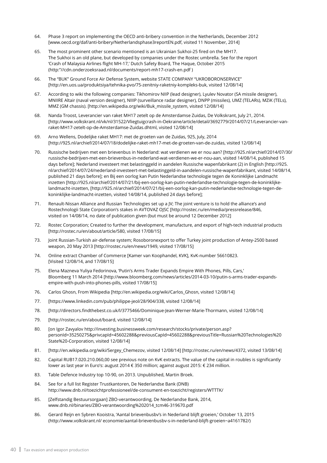- 64. Phase 3 report on implementing the OECD anti-bribery convention in the Netherlands, December 2012 [www.oecd.org/daf/anti-bribery/Netherlandsphase3reportEN.pdf, visited 11 November, 2014]
- 65. The most prominent other scenario mentioned is an Ukrainian Sukhoi-25 fired on the MH17. The Sukhoi is an old plane, but developed by companies under the Rostec umbrella. See for the report 'Crash of Malaysia Airlines flight MH-17,' Dutch Safety Board, The Haque, October 2015 (http:"//cdn.onderzoeksraad.nl/documents/report-mh17-crash-en.pdf )
- 66. The "BUK" Ground Force Air Defense System, website STATE COMPANY "UKROBORONSERVICE" [http://en.uos.ua/produktsiya/tehnika-pvo/75-zenitniy-raketniy-kompleks-buk, visited 12/08/14]
- 67. According to wiki the following companies: Tikhomirov NIIP (lead designer), Lyulev Novator (SA missile designer), MNIIRE Altair (naval version designer), NIIIP (surveillance radar designer), DNPP (missiles), UMZ (TELARs), MZiK (TELs), MMZ (GM chassis). [http://en.wikipedia.org/wiki/Buk\_missile\_system, visited 12/08/14]
- 68. Nanda Troost, Leverancier van raket MH17 zetelt op de Amsterdamse Zuidas, De Volkskrant, July 21, 2014. [http://www.volkskrant.nl/vk/nl/31522/Vliegtuigcrash-in-Oekraine/article/detail/3692779/2014/07/21/Leverancier-vanraket-MH17-zetelt-op-de-Amsterdamse-Zuidas.dhtml, visited 12/08/14]
- 69. Arno Wellens, Dodelijke raket MH17: met de groeten van de Zuidas, 925, July, 2014 [http://925.nl/archief/2014/07/18/dodelijke-raket-mh17-met-de-groeten-van-de-zuidas, visited 12/08/14]
- 70. Russische bedrijven met een brievenbus in Nederland: wat verdienen we er nou aan? [http://925.nl/archief/2014/07/30/ russische-bedrijven-met-een-brievenbus-in-nederland-wat-verdienen-we-er-nou-aan, visited 14/08/14, published 15 days before]; Nederland investeert met belastinggeld in aandelen Russische wapenfabrikant (2) in English [http://925. nl/archief/2014/07/24/nederland-investeert-met-belastinggeld-in-aandelen-russische-wapenfabrikant, visited 14/08/14, published 21 days before]; en Bij een oorlog kan Putin Nederlandse technologie tegen de Koninklijke Landmacht inzetten [http://925.nl/archief/2014/07/21/bij-een-oorlog-kan-putin-nederlandse-technologie-tegen-de-koninklijkelandmacht-inzetten, [http://925.nl/archief/2014/07/21/bij-een-oorlog-kan-putin-nederlandse-technologie-tegen-dekoninklijke-landmacht-inzetten, visited 14/08/14, published 24 days before];
- 71. Renault-Nissan Alliance and Russian Technologies set up a JV; The joint venture is to hold the alliance's and Rostechnologii State Corporation's stakes in AVTOVAZ OJSC [http://rostec.ru/en/media/pressrelease/846, visited on 14/08/14, no date of publication given (but must be around 12 December 2012]
- 72. Rostec Сorporation; Created to further the development, manufacture, and export of high-tech industrial products [http://rostec.ru/en/about/article/580, visited 17/08/15]
- 73. Joint Russian-Turkish air-defense system; Rosoboronexport to offer Turkey joint production of Antey-2500 based weapon, 20 May 2013 [http://rostec.ru/en/news/1949, visited 17/08/15]
- 74. Online extract Chamber of Commerce [Kamer van Koophandel, KVK], KvK-number 56610823. [Visited 12/08/14, and 17/08/15]
- 75. Elena Mazneva Yuliya Fedorinova, 'Putin's Arms Trader Expands Empire With Phones, Pills, Cars,' Bloomberg 11 March 2014 [http://www.bloomberg.com/news/articles/2014-03-10/putin-s-arms-trader-expandsempire-with-push-into-phones-pills, visited 17/08/15]
- 76. Carlos Ghosn, From Wikipedia [http://en.wikipedia.org/wiki/Carlos\_Ghosn, visited 12/08/14]
- 77. [https://www.linkedin.com/pub/philippe-jeol/28/904/338, visited 12/08/14]
- 78. [http://directors.findthebest.co.uk/l/3775466/Dominique-Jean-Werner-Marie-Thormann, visited 12/08/14]
- 79. [http://rostec.ru/en/about/board, visited 12/08/14]
- 80. [on Igor Zavyalov http://investing.businessweek.com/research/stocks/private/person.asp? personId=35250275&privcapId=45602288&previousCapId=45602288&previousTitle=Russian%20Technologies%20 State%20-Corporation, visited 12/08/14]
- 81. [http://en.wikipedia.org/wiki/Sergey\_Chemezov, visited 12/08/14] [http://rostec.ru/en/news/4372, visited 13/08/14]
- 82. Capital RUB17.020.210.060,00 see previous note on KvK extracts. The value of the capital in roubles is significantly lower as last year in Euro's: august 2014 € 350 million; against august 2015: € 234 million.
- 83. Table Defence Industry top 10-90, on 2013. Unpublished, Martin Broek.
- 84. See for a full list Register Trustkantoren, De Nederlandse Bank (DNB) http://www.dnb.nl/toezichtprofessioneel/de-consument-en-toezicht/registers/WTTTK/
- 85. [Zelfstandig Bestuursorgaan] ZBO-verantwoording, De Nederlandse Bank, 2014, www.dnb.nl/binaries/ZBO-verantwoording%202014\_tcm46-319670.pdf
- 86. Gerard Reijn en Sybren Kooistra, 'Aantal brievenbusbv's in Nederland blijft groeien,' October 13, 2015 (http://www.volkskrant.nl/ economie/aantal-brievenbusbv-s-in-nederland-blijft-groeien~a4161782/)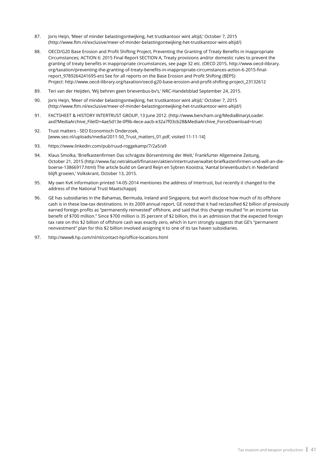- 87. Joris Heijn, 'Meer of minder belastingontwijking, het trustkantoor wint altijd,' October 7, 2015 (http://www.ftm.nl/exclusive/meer-of-minder-belastingontwijking-het-trustkantoor-wint-altijd/)
- 88. OECD/G20 Base Erosion and Profit Shifting Project, Preventing the Granting of Treaty Benefits in Inappropriate Circumstances; ACTION 6: 2015 Final Report SECTION A, Treaty provisions and/or domestic rules to prevent the granting of treaty benefits in inappropriate circumstances, see page 32 etc. (OECD 2015, http://www.oecd-ilibrary. org/taxation/preventing-the-granting-of-treaty-benefits-in-inappropriate-circumstances-action-6-2015-finalreport\_9789264241695-en) See for all reports on the Base Erosion and Profit Shifting (BEPS) Project: http://www.oecd-ilibrary.org/taxation/oecd-g20-base-erosion-and-profit-shifting-project\_23132612
- 89. Teri van der Heijden, 'Wij behren geen brievenbus-bv's,' NRC-Handelsblad September 24, 2015.
- 90. Joris Heijn, 'Meer of minder belastingontwijking, het trustkantoor wint altijd,' October 7, 2015 (http://www.ftm.nl/exclusive/meer-of-minder-belastingontwijking-het-trustkantoor-wint-altijd/)
- 91. FACTSHEET & HISTORY INTERTRUST GROUP, 13 June 2012. (http://www.bencham.org/MediaBinaryLoader. axd?MediaArchive\_FileID=4ae5d13e-0f9b-4ece-aacb-e32a7f03cb28&MediaArchive\_ForceDownload=true)
- 92. Trust matters SEO Economisch Onderzoek, [www.seo.nl/uploads/media/2011-50\_Trust\_matters\_01.pdf, visited 11-11-14]
- 93. https://www.linkedin.com/pub/ruud-roggekamp/7/2a5/a9
- 94. Klaus Smolka, 'Briefkastenfirmen Das schrägste Börsentiming der Welt,' Frankfurter Allgemeine Zeitung, October 21, 2015 (http://www.faz.net/aktuell/finanzen/aktien/intertrustverwaltet-briefkastenfirmen-und-will-an-dieboerse-13866917.html) The article build on Gerard Reijn en Sybren Kooistra, 'Aantal brievenbusbv's in Nederland blijft groeien,' Volkskrant, October 13, 2015.
- 95. My own KvK information printed 14-05-2014 mentiones the address of Intertrust, but recently it changed to the address of the National Trust Maatschappij
- 96. GE has subsidiaries in the Bahamas, Bermuda, Ireland and Singapore, but won't disclose how much of its offshore cash is in these low-tax destinations. In its 2009 annual report, GE noted that it had reclassified \$2 billion of previously earned foreign profits as "permanently reinvested" offshore, and said that this change resulted "in an income tax benefit of \$700 million." Since \$700 million is 35 percent of \$2 billion, this is an admission that the expected foreign tax rate on this \$2 billion of offshore cash was exactly zero, which in turn strongly suggests that GE's "permanent reinvestment" plan for this \$2 billion involved assigning it to one of its tax haven subsidiaries.
- 97. http://www8.hp.com/nl/nl/contact-hp/office-locations.html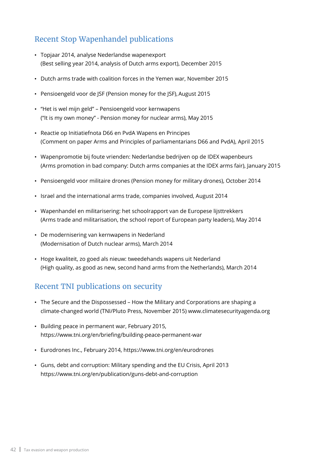### Recent Stop Wapenhandel publications

- Topjaar 2014, analyse Nederlandse wapenexport (Best selling year 2014, analysis of Dutch arms export), December 2015
- Dutch arms trade with coalition forces in the Yemen war, November 2015
- Pensioengeld voor de JSF (Pension money for the JSF), August 2015
- "Het is wel mijn geld" Pensioengeld voor kernwapens ("It is my own money" - Pension money for nuclear arms), May 2015
- Reactie op Initiatiefnota D66 en PvdA Wapens en Principes (Comment on paper Arms and Principles of parliamentarians D66 and PvdA), April 2015
- Wapenpromotie bij foute vrienden: Nederlandse bedrijven op de IDEX wapenbeurs (Arms promotion in bad company: Dutch arms companies at the IDEX arms fair), January 2015
- Pensioengeld voor militaire drones (Pension money for military drones), October 2014
- Israel and the international arms trade, companies involved, August 2014
- Wapenhandel en militarisering: het schoolrapport van de Europese lijsttrekkers (Arms trade and militarisation, the school report of European party leaders), May 2014
- De modernisering van kernwapens in Nederland (Modernisation of Dutch nuclear arms), March 2014
- Hoge kwaliteit, zo goed als nieuw: tweedehands wapens uit Nederland (High quality, as good as new, second hand arms from the Netherlands), March 2014

### Recent TNI publications on security

- The Secure and the Dispossessed How the Military and Corporations are shaping a climate-changed world (TNI/Pluto Press, November 2015) www.climatesecurityagenda.org
- Building peace in permanent war, February 2015, https://www.tni.org/en/briefing/building-peace-permanent-war
- Eurodrones Inc., February 2014, https://www.tni.org/en/eurodrones
- Guns, debt and corruption: Military spending and the EU Crisis, April 2013 https://www.tni.org/en/publication/guns-debt-and-corruption